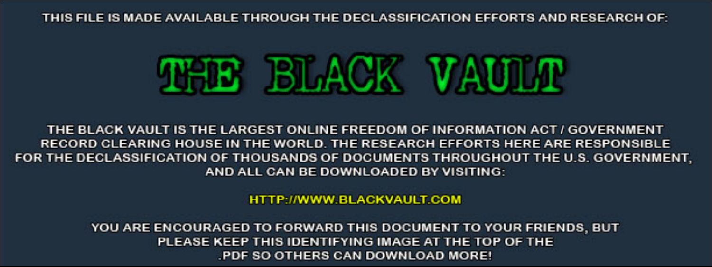THIS FILE IS MADE AVAILABLE THROUGH THE DECLASSIFICATION EFFORTS AND RESEARCH OF:



THE BLACK VAULT IS THE LARGEST ONLINE FREEDOM OF INFORMATION ACT / GOVERNMENT RECORD CLEARING HOUSE IN THE WORLD. THE RESEARCH EFFORTS HERE ARE RESPONSIBLE FOR THE DECLASSIFICATION OF THOUSANDS OF DOCUMENTS THROUGHOUT THE U.S. GOVERNMENT, AND ALL CAN BE DOWNLOADED BY VISITING:

**HTTP://WWW.BLACKVAULT.COM** 

YOU ARE ENCOURAGED TO FORWARD THIS DOCUMENT TO YOUR FRIENDS, BUT PLEASE KEEP THIS IDENTIFYING IMAGE AT THE TOP OF THE PDF SO OTHERS CAN DOWNLOAD MORE!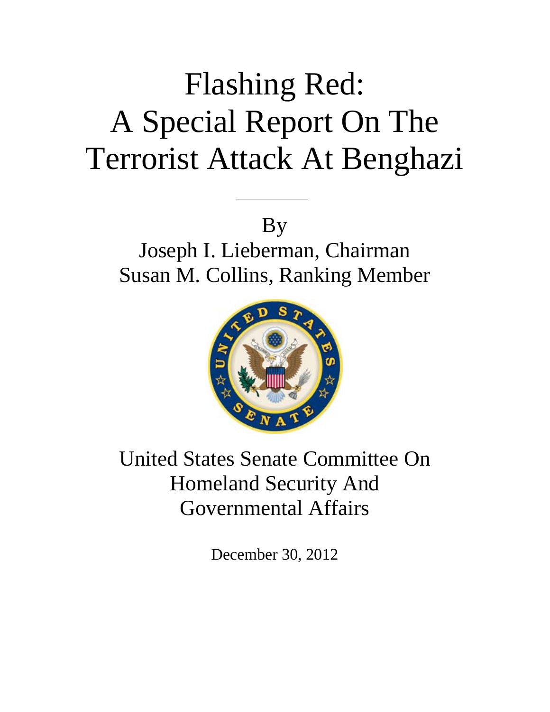# Flashing Red: A Special Report On The Terrorist Attack At Benghazi

By

<u>San Salaman Salah Barat Barat Barat Barat Barat Barat Barat Barat Barat Barat Barat Barat Barat Barat Barat B</u>

Joseph I. Lieberman, Chairman Susan M. Collins, Ranking Member



United States Senate Committee On Homeland Security And Governmental Affairs

December 30, 2012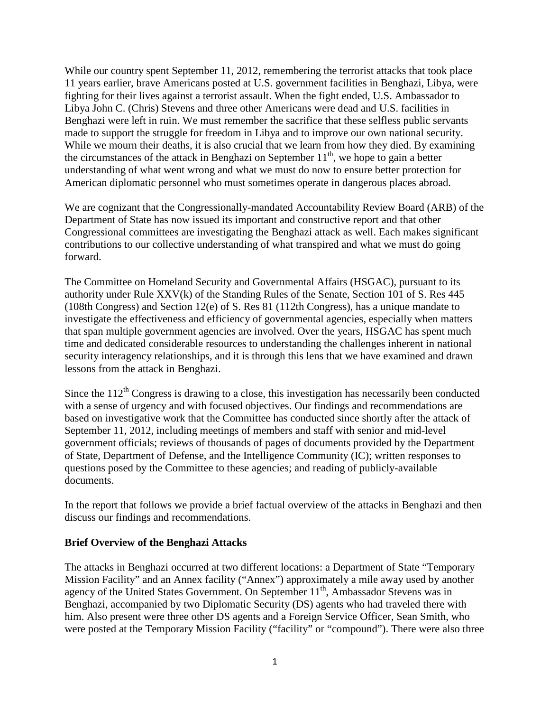While our country spent September 11, 2012, remembering the terrorist attacks that took place 11 years earlier, brave Americans posted at U.S. government facilities in Benghazi, Libya, were fighting for their lives against a terrorist assault. When the fight ended, U.S. Ambassador to Libya John C. (Chris) Stevens and three other Americans were dead and U.S. facilities in Benghazi were left in ruin. We must remember the sacrifice that these selfless public servants made to support the struggle for freedom in Libya and to improve our own national security. While we mourn their deaths, it is also crucial that we learn from how they died. By examining the circumstances of the attack in Benghazi on September  $11<sup>th</sup>$ , we hope to gain a better understanding of what went wrong and what we must do now to ensure better protection for American diplomatic personnel who must sometimes operate in dangerous places abroad.

We are cognizant that the Congressionally-mandated Accountability Review Board (ARB) of the Department of State has now issued its important and constructive report and that other Congressional committees are investigating the Benghazi attack as well. Each makes significant contributions to our collective understanding of what transpired and what we must do going forward.

The Committee on Homeland Security and Governmental Affairs (HSGAC), pursuant to its authority under Rule XXV(k) of the Standing Rules of the Senate, Section 101 of S. Res 445 (108th Congress) and Section 12(e) of S. Res 81 (112th Congress), has a unique mandate to investigate the effectiveness and efficiency of governmental agencies, especially when matters that span multiple government agencies are involved. Over the years, HSGAC has spent much time and dedicated considerable resources to understanding the challenges inherent in national security interagency relationships, and it is through this lens that we have examined and drawn lessons from the attack in Benghazi.

Since the  $112<sup>th</sup>$  Congress is drawing to a close, this investigation has necessarily been conducted with a sense of urgency and with focused objectives. Our findings and recommendations are based on investigative work that the Committee has conducted since shortly after the attack of September 11, 2012, including meetings of members and staff with senior and mid-level government officials; reviews of thousands of pages of documents provided by the Department of State, Department of Defense, and the Intelligence Community (IC); written responses to questions posed by the Committee to these agencies; and reading of publicly-available documents.

In the report that follows we provide a brief factual overview of the attacks in Benghazi and then discuss our findings and recommendations.

### **Brief Overview of the Benghazi Attacks**

The attacks in Benghazi occurred at two different locations: a Department of State "Temporary Mission Facility" and an Annex facility ("Annex") approximately a mile away used by another agency of the United States Government. On September 11<sup>th</sup>, Ambassador Stevens was in Benghazi, accompanied by two Diplomatic Security (DS) agents who had traveled there with him. Also present were three other DS agents and a Foreign Service Officer, Sean Smith, who were posted at the Temporary Mission Facility ("facility" or "compound"). There were also three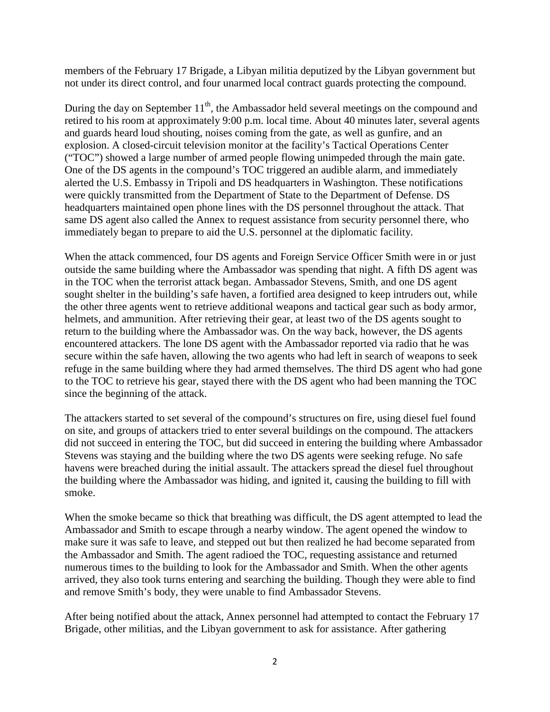members of the February 17 Brigade, a Libyan militia deputized by the Libyan government but not under its direct control, and four unarmed local contract guards protecting the compound.

During the day on September 11<sup>th</sup>, the Ambassador held several meetings on the compound and retired to his room at approximately 9:00 p.m. local time. About 40 minutes later, several agents and guards heard loud shouting, noises coming from the gate, as well as gunfire, and an explosion. A closed-circuit television monitor at the facility's Tactical Operations Center ("TOC") showed a large number of armed people flowing unimpeded through the main gate. One of the DS agents in the compound's TOC triggered an audible alarm, and immediately alerted the U.S. Embassy in Tripoli and DS headquarters in Washington. These notifications were quickly transmitted from the Department of State to the Department of Defense. DS headquarters maintained open phone lines with the DS personnel throughout the attack. That same DS agent also called the Annex to request assistance from security personnel there, who immediately began to prepare to aid the U.S. personnel at the diplomatic facility.

When the attack commenced, four DS agents and Foreign Service Officer Smith were in or just outside the same building where the Ambassador was spending that night. A fifth DS agent was in the TOC when the terrorist attack began. Ambassador Stevens, Smith, and one DS agent sought shelter in the building's safe haven, a fortified area designed to keep intruders out, while the other three agents went to retrieve additional weapons and tactical gear such as body armor, helmets, and ammunition. After retrieving their gear, at least two of the DS agents sought to return to the building where the Ambassador was. On the way back, however, the DS agents encountered attackers. The lone DS agent with the Ambassador reported via radio that he was secure within the safe haven, allowing the two agents who had left in search of weapons to seek refuge in the same building where they had armed themselves. The third DS agent who had gone to the TOC to retrieve his gear, stayed there with the DS agent who had been manning the TOC since the beginning of the attack.

The attackers started to set several of the compound's structures on fire, using diesel fuel found on site, and groups of attackers tried to enter several buildings on the compound. The attackers did not succeed in entering the TOC, but did succeed in entering the building where Ambassador Stevens was staying and the building where the two DS agents were seeking refuge. No safe havens were breached during the initial assault. The attackers spread the diesel fuel throughout the building where the Ambassador was hiding, and ignited it, causing the building to fill with smoke.

When the smoke became so thick that breathing was difficult, the DS agent attempted to lead the Ambassador and Smith to escape through a nearby window. The agent opened the window to make sure it was safe to leave, and stepped out but then realized he had become separated from the Ambassador and Smith. The agent radioed the TOC, requesting assistance and returned numerous times to the building to look for the Ambassador and Smith. When the other agents arrived, they also took turns entering and searching the building. Though they were able to find and remove Smith's body, they were unable to find Ambassador Stevens.

After being notified about the attack, Annex personnel had attempted to contact the February 17 Brigade, other militias, and the Libyan government to ask for assistance. After gathering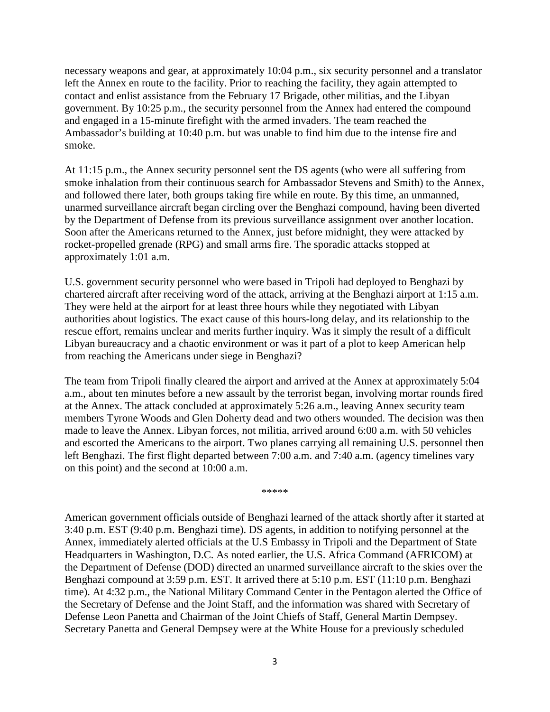necessary weapons and gear, at approximately 10:04 p.m., six security personnel and a translator left the Annex en route to the facility. Prior to reaching the facility, they again attempted to contact and enlist assistance from the February 17 Brigade, other militias, and the Libyan government. By 10:25 p.m., the security personnel from the Annex had entered the compound and engaged in a 15-minute firefight with the armed invaders. The team reached the Ambassador's building at 10:40 p.m. but was unable to find him due to the intense fire and smoke.

At 11:15 p.m., the Annex security personnel sent the DS agents (who were all suffering from smoke inhalation from their continuous search for Ambassador Stevens and Smith) to the Annex, and followed there later, both groups taking fire while en route. By this time, an unmanned, unarmed surveillance aircraft began circling over the Benghazi compound, having been diverted by the Department of Defense from its previous surveillance assignment over another location. Soon after the Americans returned to the Annex, just before midnight, they were attacked by rocket-propelled grenade (RPG) and small arms fire. The sporadic attacks stopped at approximately 1:01 a.m.

U.S. government security personnel who were based in Tripoli had deployed to Benghazi by chartered aircraft after receiving word of the attack, arriving at the Benghazi airport at 1:15 a.m. They were held at the airport for at least three hours while they negotiated with Libyan authorities about logistics. The exact cause of this hours-long delay, and its relationship to the rescue effort, remains unclear and merits further inquiry. Was it simply the result of a difficult Libyan bureaucracy and a chaotic environment or was it part of a plot to keep American help from reaching the Americans under siege in Benghazi?

The team from Tripoli finally cleared the airport and arrived at the Annex at approximately 5:04 a.m., about ten minutes before a new assault by the terrorist began, involving mortar rounds fired at the Annex. The attack concluded at approximately 5:26 a.m., leaving Annex security team members Tyrone Woods and Glen Doherty dead and two others wounded. The decision was then made to leave the Annex. Libyan forces, not militia, arrived around 6:00 a.m. with 50 vehicles and escorted the Americans to the airport. Two planes carrying all remaining U.S. personnel then left Benghazi. The first flight departed between 7:00 a.m. and 7:40 a.m. (agency timelines vary on this point) and the second at 10:00 a.m.

\*\*\*\*\*

American government officials outside of Benghazi learned of the attack shortly after it started at 3:40 p.m. EST (9:40 p.m. Benghazi time). DS agents, in addition to notifying personnel at the Annex, immediately alerted officials at the U.S Embassy in Tripoli and the Department of State Headquarters in Washington, D.C. As noted earlier, the U.S. Africa Command (AFRICOM) at the Department of Defense (DOD) directed an unarmed surveillance aircraft to the skies over the Benghazi compound at 3:59 p.m. EST. It arrived there at 5:10 p.m. EST (11:10 p.m. Benghazi time). At 4:32 p.m., the National Military Command Center in the Pentagon alerted the Office of the Secretary of Defense and the Joint Staff, and the information was shared with Secretary of Defense Leon Panetta and Chairman of the Joint Chiefs of Staff, General Martin Dempsey. Secretary Panetta and General Dempsey were at the White House for a previously scheduled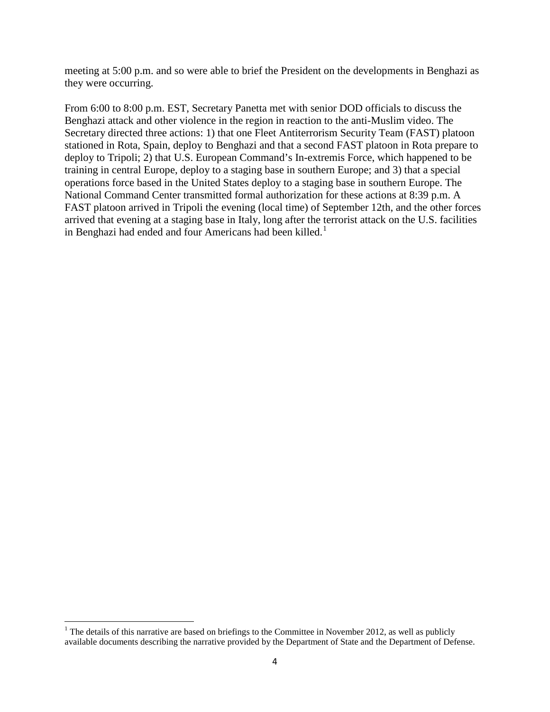meeting at 5:00 p.m. and so were able to brief the President on the developments in Benghazi as they were occurring.

From 6:00 to 8:00 p.m. EST, Secretary Panetta met with senior DOD officials to discuss the Benghazi attack and other violence in the region in reaction to the anti-Muslim video. The Secretary directed three actions: 1) that one Fleet Antiterrorism Security Team (FAST) platoon stationed in Rota, Spain, deploy to Benghazi and that a second FAST platoon in Rota prepare to deploy to Tripoli; 2) that U.S. European Command's In-extremis Force, which happened to be training in central Europe, deploy to a staging base in southern Europe; and 3) that a special operations force based in the United States deploy to a staging base in southern Europe. The National Command Center transmitted formal authorization for these actions at 8:39 p.m. A FAST platoon arrived in Tripoli the evening (local time) of September 12th, and the other forces arrived that evening at a staging base in Italy, long after the terrorist attack on the U.S. facilities in Benghazi had ended and four Americans had been killed.<sup>[1](#page-6-0)</sup>

<span id="page-6-0"></span><sup>&</sup>lt;sup>1</sup> The details of this narrative are based on briefings to the Committee in November 2012, as well as publicly available documents describing the narrative provided by the Department of State and the Department of Defense.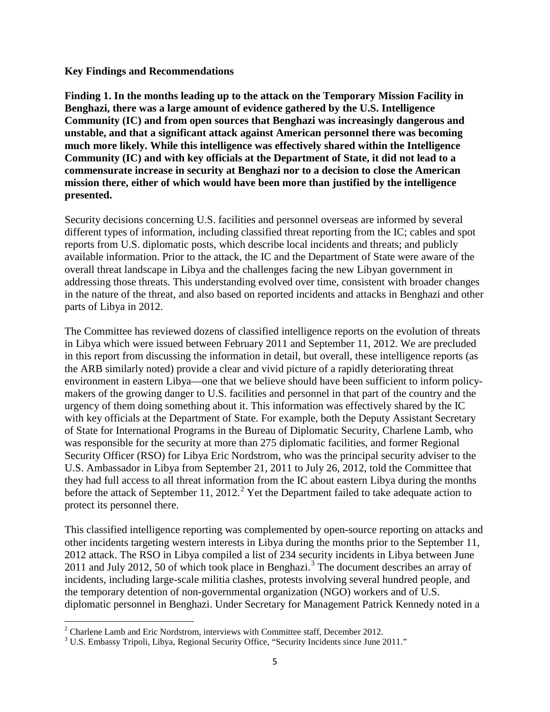#### **Key Findings and Recommendations**

**Finding 1. In the months leading up to the attack on the Temporary Mission Facility in Benghazi, there was a large amount of evidence gathered by the U.S. Intelligence Community (IC) and from open sources that Benghazi was increasingly dangerous and unstable, and that a significant attack against American personnel there was becoming much more likely. While this intelligence was effectively shared within the Intelligence Community (IC) and with key officials at the Department of State, it did not lead to a commensurate increase in security at Benghazi nor to a decision to close the American mission there, either of which would have been more than justified by the intelligence presented.**

Security decisions concerning U.S. facilities and personnel overseas are informed by several different types of information, including classified threat reporting from the IC; cables and spot reports from U.S. diplomatic posts, which describe local incidents and threats; and publicly available information. Prior to the attack, the IC and the Department of State were aware of the overall threat landscape in Libya and the challenges facing the new Libyan government in addressing those threats. This understanding evolved over time, consistent with broader changes in the nature of the threat, and also based on reported incidents and attacks in Benghazi and other parts of Libya in 2012.

The Committee has reviewed dozens of classified intelligence reports on the evolution of threats in Libya which were issued between February 2011 and September 11, 2012. We are precluded in this report from discussing the information in detail, but overall, these intelligence reports (as the ARB similarly noted) provide a clear and vivid picture of a rapidly deteriorating threat environment in eastern Libya—one that we believe should have been sufficient to inform policymakers of the growing danger to U.S. facilities and personnel in that part of the country and the urgency of them doing something about it. This information was effectively shared by the IC with key officials at the Department of State. For example, both the Deputy Assistant Secretary of State for International Programs in the Bureau of Diplomatic Security, Charlene Lamb, who was responsible for the security at more than 275 diplomatic facilities, and former Regional Security Officer (RSO) for Libya Eric Nordstrom, who was the principal security adviser to the U.S. Ambassador in Libya from September 21, 2011 to July 26, 2012, told the Committee that they had full access to all threat information from the IC about eastern Libya during the months before the attack of September 11, [2](#page-7-0)012.<sup>2</sup> Yet the Department failed to take adequate action to protect its personnel there.

This classified intelligence reporting was complemented by open-source reporting on attacks and other incidents targeting western interests in Libya during the months prior to the September 11, 2012 attack. The RSO in Libya compiled a list of 234 security incidents in Libya between June 2011 and July 2012, 50 of which took place in Benghazi. [3](#page-7-1) The document describes an array of incidents, including large-scale militia clashes, protests involving several hundred people, and the temporary detention of non-governmental organization (NGO) workers and of U.S. diplomatic personnel in Benghazi. Under Secretary for Management Patrick Kennedy noted in a

<span id="page-7-0"></span> $2$  Charlene Lamb and Eric Nordstrom, interviews with Committee staff, December 2012.

<span id="page-7-1"></span><sup>&</sup>lt;sup>3</sup> U.S. Embassy Tripoli, Libya, Regional Security Office, "Security Incidents since June 2011."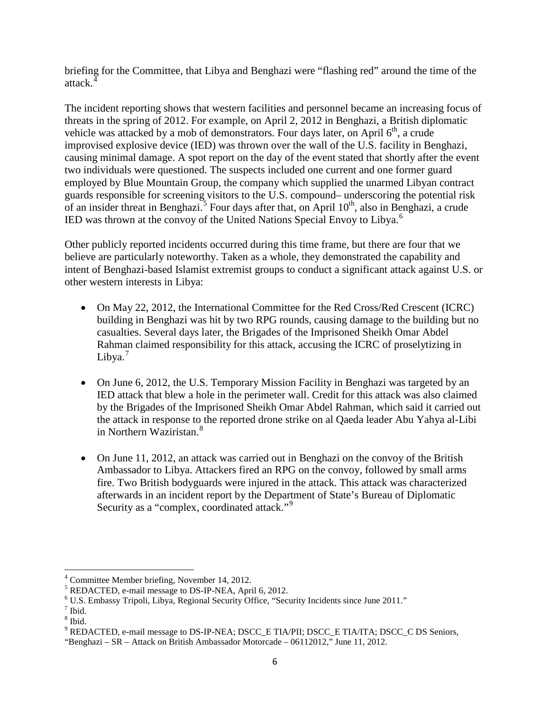briefing for the Committee, that Libya and Benghazi were "flashing red" around the time of the attack.

The incident reporting shows that western facilities and personnel became an increasing focus of threats in the spring of 2012. For example, on April 2, 2012 in Benghazi, a British diplomatic vehicle was attacked by a mob of demonstrators. Four days later, on April  $6<sup>th</sup>$ , a crude improvised explosive device (IED) was thrown over the wall of the U.S. facility in Benghazi, causing minimal damage. A spot report on the day of the event stated that shortly after the event two individuals were questioned. The suspects included one current and one former guard employed by Blue Mountain Group, the company which supplied the unarmed Libyan contract guards responsible for screening visitors to the U.S. compound– underscoring the potential risk of an insider threat in Benghazi.<sup>[5](#page-8-1)</sup> Four days after that, on April 10<sup>th</sup>, also in Benghazi, a crude IED was thrown at the convoy of the United Nations Special Envoy to Libya.<sup>[6](#page-8-2)</sup>

Other publicly reported incidents occurred during this time frame, but there are four that we believe are particularly noteworthy. Taken as a whole, they demonstrated the capability and intent of Benghazi-based Islamist extremist groups to conduct a significant attack against U.S. or other western interests in Libya:

- On May 22, 2012, the International Committee for the Red Cross/Red Crescent (ICRC) building in Benghazi was hit by two RPG rounds, causing damage to the building but no casualties. Several days later, the Brigades of the Imprisoned Sheikh Omar Abdel Rahman claimed responsibility for this attack, accusing the ICRC of proselytizing in Libya. $<sup>7</sup>$  $<sup>7</sup>$  $<sup>7</sup>$ </sup>
- On June 6, 2012, the U.S. Temporary Mission Facility in Benghazi was targeted by an IED attack that blew a hole in the perimeter wall. Credit for this attack was also claimed by the Brigades of the Imprisoned Sheikh Omar Abdel Rahman, which said it carried out the attack in response to the reported drone strike on al Qaeda leader Abu Yahya al-Libi in Northern Waziristan.[8](#page-8-4)
- On June 11, 2012, an attack was carried out in Benghazi on the convoy of the British Ambassador to Libya. Attackers fired an RPG on the convoy, followed by small arms fire. Two British bodyguards were injured in the attack. This attack was characterized afterwards in an incident report by the Department of State's Bureau of Diplomatic Security as a "complex, coordinated attack."<sup>[9](#page-8-5)</sup>

<span id="page-8-1"></span><span id="page-8-0"></span><sup>&</sup>lt;sup>4</sup> Committee Member briefing, November 14, 2012.<br><sup>5</sup> REDACTED, e-mail message to DS-IP-NEA, April 6, 2012.<br><sup>6</sup> U.S. Embassy Tripoli, Libya, Regional Security Office, "Security Incidents since June 2011."

<span id="page-8-3"></span><span id="page-8-2"></span> $<sup>7</sup>$  Ibid.</sup>

<span id="page-8-4"></span> $8$  Ibid.

<span id="page-8-5"></span><sup>&</sup>lt;sup>9</sup> REDACTED, e-mail message to DS-IP-NEA; DSCC\_E TIA/PII; DSCC\_E TIA/ITA; DSCC\_C DS Seniors,

<sup>&</sup>quot;Benghazi – SR – Attack on British Ambassador Motorcade – 06112012," June 11, 2012.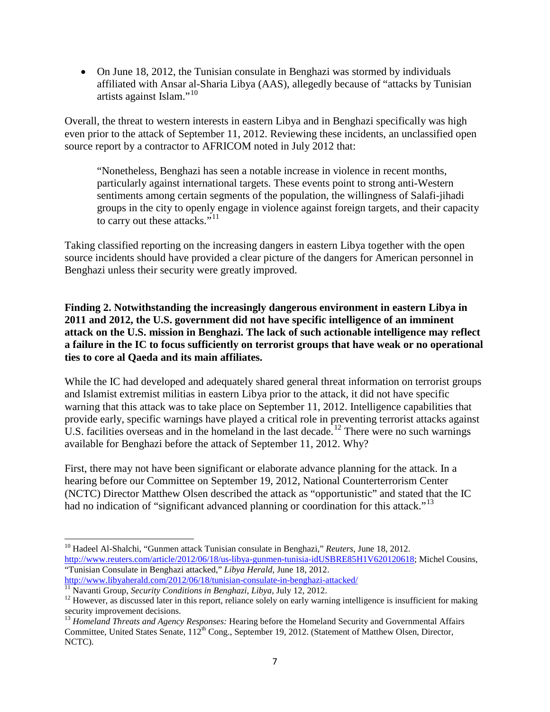• On June 18, 2012, the Tunisian consulate in Benghazi was stormed by individuals affiliated with Ansar al-Sharia Libya (AAS), allegedly because of "attacks by Tunisian artists against Islam."[10](#page-9-0)

Overall, the threat to western interests in eastern Libya and in Benghazi specifically was high even prior to the attack of September 11, 2012. Reviewing these incidents, an unclassified open source report by a contractor to AFRICOM noted in July 2012 that:

"Nonetheless, Benghazi has seen a notable increase in violence in recent months, particularly against international targets. These events point to strong anti-Western sentiments among certain segments of the population, the willingness of Salafi-jihadi groups in the city to openly engage in violence against foreign targets, and their capacity to carry out these attacks."<sup>[11](#page-9-1)</sup>

Taking classified reporting on the increasing dangers in eastern Libya together with the open source incidents should have provided a clear picture of the dangers for American personnel in Benghazi unless their security were greatly improved.

**Finding 2. Notwithstanding the increasingly dangerous environment in eastern Libya in 2011 and 2012, the U.S. government did not have specific intelligence of an imminent attack on the U.S. mission in Benghazi. The lack of such actionable intelligence may reflect a failure in the IC to focus sufficiently on terrorist groups that have weak or no operational ties to core al Qaeda and its main affiliates.**

While the IC had developed and adequately shared general threat information on terrorist groups and Islamist extremist militias in eastern Libya prior to the attack, it did not have specific warning that this attack was to take place on September 11, 2012. Intelligence capabilities that provide early, specific warnings have played a critical role in preventing terrorist attacks against U.S. facilities overseas and in the homeland in the last decade.<sup>[12](#page-9-2)</sup> There were no such warnings available for Benghazi before the attack of September 11, 2012. Why?

First, there may not have been significant or elaborate advance planning for the attack. In a hearing before our Committee on September 19, 2012, National Counterterrorism Center (NCTC) Director Matthew Olsen described the attack as "opportunistic" and stated that the IC had no indication of "significant advanced planning or coordination for this attack."<sup>[13](#page-9-3)</sup>

<span id="page-9-0"></span><sup>10</sup> Hadeel Al-Shalchi, "Gunmen attack Tunisian consulate in Benghazi," *Reuters*, June 18, 2012. [http://www.reuters.com/article/2012/06/18/us-libya-gunmen-tunisia-idUSBRE85H1V620120618;](http://www.reuters.com/article/2012/06/18/us-libya-gunmen-tunisia-idUSBRE85H1V620120618) Michel Cousins, "Tunisian Consulate in Benghazi attacked," *Libya Herald*, June 18, 2012.

<span id="page-9-1"></span> $\frac{http://www.libyaherald.com/2012/06/18/tunisian-consulate-in-benghazi-attached/}{^{11}}$ Navanti Group, *Security Conditions in Benghazi, Libya*, July 12, 2012.<br><sup>12</sup> However, as discussed later in this report, reliance solely on early warning intelligence is insuffi

<span id="page-9-2"></span>security improvement decisions.

<span id="page-9-3"></span><sup>&</sup>lt;sup>13</sup> Homeland Threats and Agency Responses: Hearing before the Homeland Security and Governmental Affairs Committee, United States Senate,  $112^{th}$  Cong., September 19, 2012. (Statement of Matthew Olsen, Director, NCTC).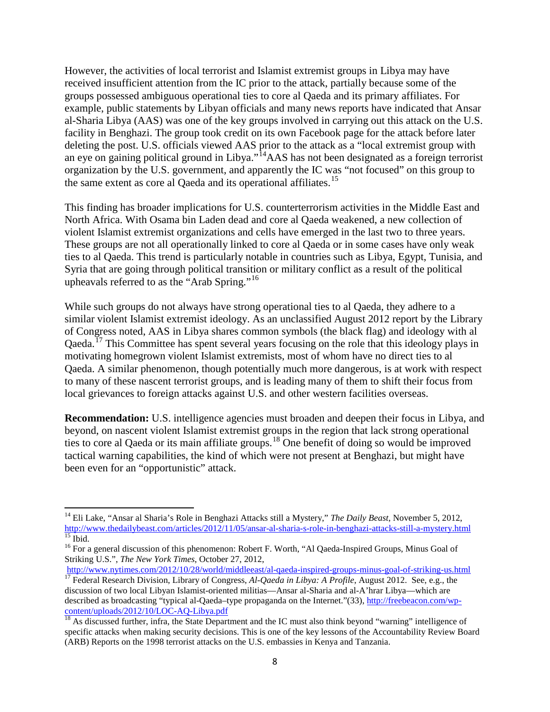However, the activities of local terrorist and Islamist extremist groups in Libya may have received insufficient attention from the IC prior to the attack, partially because some of the groups possessed ambiguous operational ties to core al Qaeda and its primary affiliates. For example, public statements by Libyan officials and many news reports have indicated that Ansar al-Sharia Libya (AAS) was one of the key groups involved in carrying out this attack on the U.S. facility in Benghazi. The group took credit on its own Facebook page for the attack before later deleting the post. U.S. officials viewed AAS prior to the attack as a "local extremist group with an eye on gaining political ground in Libya."[14A](#page-10-0)AS has not been designated as a foreign terrorist organization by the U.S. government, and apparently the IC was "not focused" on this group to the same extent as core al Qaeda and its operational affiliates.<sup>[15](#page-10-1)</sup>

This finding has broader implications for U.S. counterterrorism activities in the Middle East and North Africa. With Osama bin Laden dead and core al Qaeda weakened, a new collection of violent Islamist extremist organizations and cells have emerged in the last two to three years. These groups are not all operationally linked to core al Qaeda or in some cases have only weak ties to al Qaeda. This trend is particularly notable in countries such as Libya, Egypt, Tunisia, and Syria that are going through political transition or military conflict as a result of the political upheavals referred to as the "Arab Spring."<sup>[16](#page-10-2)</sup>

While such groups do not always have strong operational ties to al Qaeda, they adhere to a similar violent Islamist extremist ideology. As an unclassified August 2012 report by the Library of Congress noted, AAS in Libya shares common symbols (the black flag) and ideology with al Oaeda.<sup>[17](#page-10-3)</sup> This Committee has spent several years focusing on the role that this ideology plays in motivating homegrown violent Islamist extremists, most of whom have no direct ties to al Qaeda. A similar phenomenon, though potentially much more dangerous, is at work with respect to many of these nascent terrorist groups, and is leading many of them to shift their focus from local grievances to foreign attacks against U.S. and other western facilities overseas.

**Recommendation:** U.S. intelligence agencies must broaden and deepen their focus in Libya, and beyond, on nascent violent Islamist extremist groups in the region that lack strong operational ties to core al Qaeda or its main affiliate groups. [18](#page-10-4) One benefit of doing so would be improved tactical warning capabilities, the kind of which were not present at Benghazi, but might have been even for an "opportunistic" attack.

<span id="page-10-0"></span><sup>&</sup>lt;sup>14</sup> Eli Lake, "Ansar al Sharia's Role in Benghazi Attacks still a Mystery," *The Daily Beast*, November 5, 2012, http://www.thedailybeast.com/articles/2012/11/05/ansar-al-sharia-s-role-in-benghazi-attacks-still-a-mystery. <sup>15</sup> Ibid.<br><sup>16</sup> For a general discussion of this phenomenon: Robert F. Worth, "Al Qaeda-Inspired Groups, Minus Goal of

<span id="page-10-2"></span><span id="page-10-1"></span>Striking U.S.", *The New York Times*, October 27, 2012,<br>http://www.nytimes.com/2012/10/28/world/middleeast/al-qaeda-inspired-groups-minus-goal-of-striking-us.html

<span id="page-10-3"></span><sup>&</sup>lt;sup>17</sup> Federal Research Division, Library of Congress, *Al-Qaeda in Libya: A Profile*, August 2012. See, e.g., the discussion of two local Libyan Islamist-oriented militias—Ansar al-Sharia and al-A'hrar Libya—which are described as broadcasting "typical al-Qaeda–type propaganda on the Internet."(33), http://freebeacon.com/wp-<br>content/uploads/2012/10/LOC-AQ-Libya.pdf

<span id="page-10-4"></span> $\frac{18}{18}$  As discussed further, infra, the State Department and the IC must also think beyond "warning" intelligence of specific attacks when making security decisions. This is one of the key lessons of the Accountability Review Board (ARB) Reports on the 1998 terrorist attacks on the U.S. embassies in Kenya and Tanzania.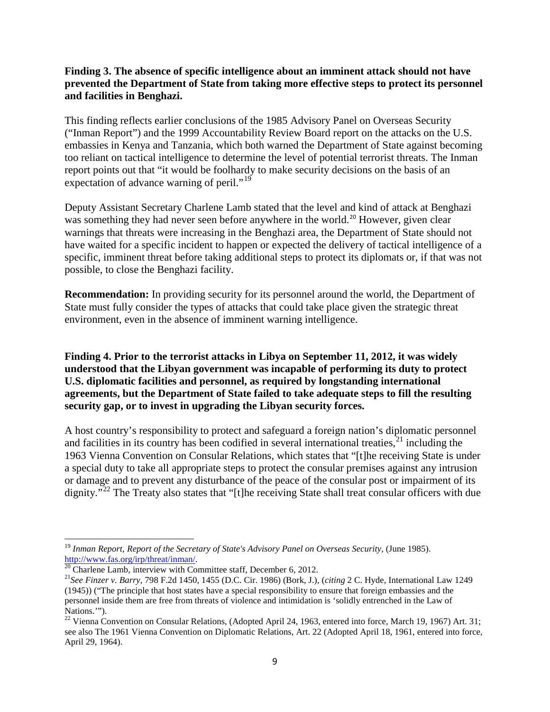## **Finding 3. The absence of specific intelligence about an imminent attack should not have prevented the Department of State from taking more effective steps to protect its personnel and facilities in Benghazi.**

This finding reflects earlier conclusions of the 1985 Advisory Panel on Overseas Security ("Inman Report") and the 1999 Accountability Review Board report on the attacks on the U.S. embassies in Kenya and Tanzania, which both warned the Department of State against becoming too reliant on tactical intelligence to determine the level of potential terrorist threats. The Inman report points out that "it would be foolhardy to make security decisions on the basis of an expectation of advance warning of peril."<sup>[19](#page-11-0)</sup>

Deputy Assistant Secretary Charlene Lamb stated that the level and kind of attack at Benghazi was something they had never seen before anywhere in the world.<sup>[20](#page-11-1)</sup> However, given clear warnings that threats were increasing in the Benghazi area, the Department of State should not have waited for a specific incident to happen or expected the delivery of tactical intelligence of a specific, imminent threat before taking additional steps to protect its diplomats or, if that was not possible, to close the Benghazi facility.

**Recommendation:** In providing security for its personnel around the world, the Department of State must fully consider the types of attacks that could take place given the strategic threat environment, even in the absence of imminent warning intelligence.

**Finding 4. Prior to the terrorist attacks in Libya on September 11, 2012, it was widely understood that the Libyan government was incapable of performing its duty to protect U.S. diplomatic facilities and personnel, as required by longstanding international agreements, but the Department of State failed to take adequate steps to fill the resulting security gap, or to invest in upgrading the Libyan security forces.**

A host country's responsibility to protect and safeguard a foreign nation's diplomatic personnel and facilities in its country has been codified in several international treaties, $21$  including the 1963 Vienna Convention on Consular Relations, which states that "[t]he receiving State is under a special duty to take all appropriate steps to protect the consular premises against any intrusion or damage and to prevent any disturbance of the peace of the consular post or impairment of its dignity."<sup>[22](#page-11-3)</sup> The Treaty also states that "[t]he receiving State shall treat consular officers with due

<span id="page-11-0"></span><sup>&</sup>lt;sup>19</sup> *Inman Report, Report of the Secretary of State's Advisory Panel on Overseas Security,* (June 1985).<br>  $\frac{http://www.fas.org/irp/thread/inman/}{20}$  Charlene Lamb, interview with Committee staff, December 6, 2012.

<span id="page-11-1"></span>

<span id="page-11-2"></span><sup>&</sup>lt;sup>21</sup>See Finzer v. Barry, 798 F.2d 1450, 1455 (D.C. Cir. 1986) (Bork, J.), (citing 2 C. Hyde, International Law 1249 (1945)) ("The principle that host states have a special responsibility to ensure that foreign embassies and the personnel inside them are free from threats of violence and intimidation is 'solidly entrenched in the Law of Nations.'").

<span id="page-11-3"></span><sup>&</sup>lt;sup>22</sup> Vienna Convention on Consular Relations, (Adopted April 24, 1963, entered into force, March 19, 1967) Art. 31; see also The 1961 Vienna Convention on Diplomatic Relations, Art. 22 (Adopted April 18, 1961, entered into force, April 29, 1964).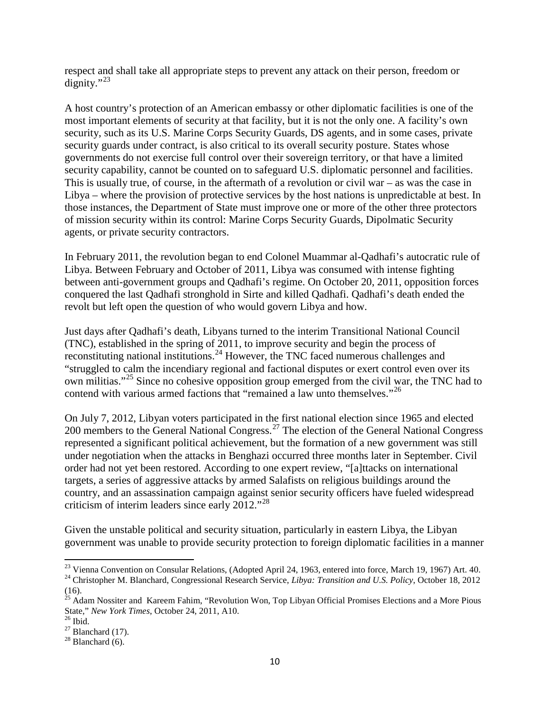respect and shall take all appropriate steps to prevent any attack on their person, freedom or dignity." $^{23}$  $^{23}$  $^{23}$ 

A host country's protection of an American embassy or other diplomatic facilities is one of the most important elements of security at that facility, but it is not the only one. A facility's own security, such as its U.S. Marine Corps Security Guards, DS agents, and in some cases, private security guards under contract, is also critical to its overall security posture. States whose governments do not exercise full control over their sovereign territory, or that have a limited security capability, cannot be counted on to safeguard U.S. diplomatic personnel and facilities. This is usually true, of course, in the aftermath of a revolution or civil war – as was the case in Libya – where the provision of protective services by the host nations is unpredictable at best. In those instances, the Department of State must improve one or more of the other three protectors of mission security within its control: Marine Corps Security Guards, Dipolmatic Security agents, or private security contractors.

In February 2011, the revolution began to end Colonel Muammar al-Qadhafi's autocratic rule of Libya. Between February and October of 2011, Libya was consumed with intense fighting between anti-government groups and Qadhafi's regime. On October 20, 2011, opposition forces conquered the last Qadhafi stronghold in Sirte and killed Qadhafi. Qadhafi's death ended the revolt but left open the question of who would govern Libya and how.

Just days after Qadhafi's death, Libyans turned to the interim Transitional National Council (TNC), established in the spring of 2011, to improve security and begin the process of reconstituting national institutions.<sup>[24](#page-12-1)</sup> However, the TNC faced numerous challenges and "struggled to calm the incendiary regional and factional disputes or exert control even over its own militias."<sup>[25](#page-12-2)</sup> Since no cohesive opposition group emerged from the civil war, the TNC had to contend with various armed factions that "remained a law unto themselves."<sup>[26](#page-12-3)</sup>

On July 7, 2012, Libyan voters participated in the first national election since 1965 and elected 200 members to the General National Congress.<sup>[27](#page-12-4)</sup> The election of the General National Congress represented a significant political achievement, but the formation of a new government was still under negotiation when the attacks in Benghazi occurred three months later in September. Civil order had not yet been restored. According to one expert review, "[a]ttacks on international targets, a series of aggressive attacks by armed Salafists on religious buildings around the country, and an assassination campaign against senior security officers have fueled widespread criticism of interim leaders since early 2012."<sup>[28](#page-12-5)</sup>

Given the unstable political and security situation, particularly in eastern Libya, the Libyan government was unable to provide security protection to foreign diplomatic facilities in a manner

<span id="page-12-0"></span><sup>&</sup>lt;sup>23</sup> Vienna Convention on Consular Relations, (Adopted April 24, 1963, entered into force, March 19, 1967) Art. 40.<br><sup>24</sup> Christopher M. Blanchard, Congressional Research Service, *Libya: Transition and U.S. Policy*, Octob

<span id="page-12-1"></span><sup>(16).</sup>

<span id="page-12-2"></span><sup>&</sup>lt;sup>25</sup> Adam Nossiter and Kareem Fahim, "Revolution Won, Top Libyan Official Promises Elections and a More Pious State," *New York Times*, October 24, 2011, A10.<br><sup>26</sup> Ibid.<br><sup>27</sup> Blanchard (17).<br><sup>28</sup> Blanchard (6).

<span id="page-12-4"></span><span id="page-12-3"></span>

<span id="page-12-5"></span>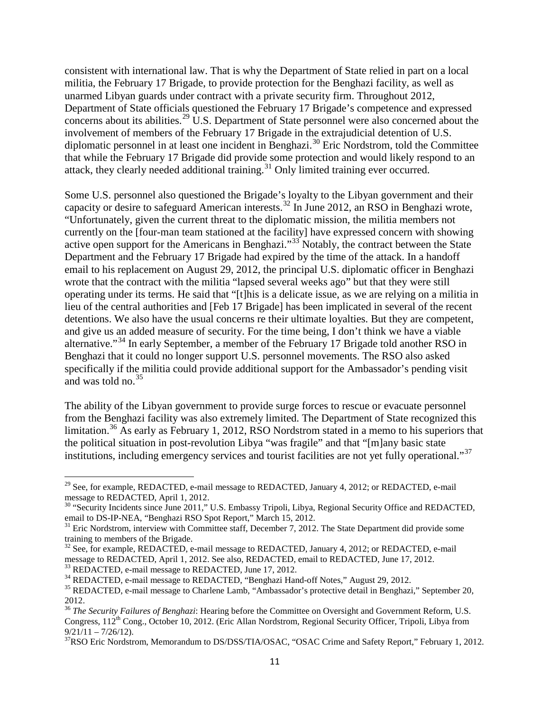consistent with international law. That is why the Department of State relied in part on a local militia, the February 17 Brigade, to provide protection for the Benghazi facility, as well as unarmed Libyan guards under contract with a private security firm. Throughout 2012, Department of State officials questioned the February 17 Brigade's competence and expressed concerns about its abilities.<sup>[29](#page-13-0)</sup> U.S. Department of State personnel were also concerned about the involvement of members of the February 17 Brigade in the extrajudicial detention of U.S. diplomatic personnel in at least one incident in Benghazi.[30](#page-13-1) Eric Nordstrom, told the Committee that while the February 17 Brigade did provide some protection and would likely respond to an attack, they clearly needed additional training.<sup>[31](#page-13-2)</sup> Only limited training ever occurred.

Some U.S. personnel also questioned the Brigade's loyalty to the Libyan government and their capacity or desire to safeguard American interests.<sup>[32](#page-13-3)</sup> In June 2012, an RSO in Benghazi wrote, "Unfortunately, given the current threat to the diplomatic mission, the militia members not currently on the [four-man team stationed at the facility] have expressed concern with showing active open support for the Americans in Benghazi."<sup>[33](#page-13-4)</sup> Notably, the contract between the State Department and the February 17 Brigade had expired by the time of the attack. In a handoff email to his replacement on August 29, 2012, the principal U.S. diplomatic officer in Benghazi wrote that the contract with the militia "lapsed several weeks ago" but that they were still operating under its terms. He said that "[t]his is a delicate issue, as we are relying on a militia in lieu of the central authorities and [Feb 17 Brigade] has been implicated in several of the recent detentions. We also have the usual concerns re their ultimate loyalties. But they are competent, and give us an added measure of security. For the time being, I don't think we have a viable alternative."<sup>[34](#page-13-5)</sup> In early September, a member of the February 17 Brigade told another RSO in Benghazi that it could no longer support U.S. personnel movements. The RSO also asked specifically if the militia could provide additional support for the Ambassador's pending visit and was told no.  $35$ 

The ability of the Libyan government to provide surge forces to rescue or evacuate personnel from the Benghazi facility was also extremely limited. The Department of State recognized this limitation. [36](#page-13-7) As early as February 1, 2012, RSO Nordstrom stated in a memo to his superiors that the political situation in post-revolution Libya "was fragile" and that "[m]any basic state institutions, including emergency services and tourist facilities are not yet fully operational."[37](#page-13-8)

<span id="page-13-0"></span><sup>&</sup>lt;sup>29</sup> See, for example, REDACTED, e-mail message to REDACTED, January 4, 2012; or REDACTED, e-mail message to REDACTED, April 1, 2012.

<span id="page-13-1"></span><sup>&</sup>lt;sup>30</sup> "Security Incidents since June 2011," U.S. Embassy Tripoli, Libya, Regional Security Office and REDACTED, email to DS-IP-NEA, "Benghazi RSO Spot Report," March 15, 2012.<br><sup>31</sup> Eric Nordstrom, interview with Committee staff, December 7, 2012. The State Department did provide some

<span id="page-13-2"></span>training to members of the Brigade.

<span id="page-13-3"></span> $32$  See, for example, REDACTED, e-mail message to REDACTED, January 4, 2012; or REDACTED, e-mail message to REDACTED, April 1, 2012. See also, REDACTED, email to REDACTED, June 17, 2012. <sup>33</sup> REDACTED, e-mail message to REDACTED, June 17, 2012.<br><sup>34</sup> REDACTED, e-mail message to REDACTED, "Benghazi Hand-off Notes," August 29, 2012.<br><sup>35</sup> REDACTED, e-mail message to Charlene Lamb, "Ambassador's protective det

<span id="page-13-5"></span><span id="page-13-4"></span>

<span id="page-13-6"></span><sup>2012.</sup>

<span id="page-13-7"></span><sup>&</sup>lt;sup>36</sup> The Security Failures of Benghazi: Hearing before the Committee on Oversight and Government Reform, U.S. Congress,  $112^{th}$  Cong., October 10, 2012. (Eric Allan Nordstrom, Regional Security Officer, Tripoli, Libya from  $9/21/11 - 7/26/12$ ).

<span id="page-13-8"></span><sup>&</sup>lt;sup>37</sup>RSO Eric Nordstrom, Memorandum to DS/DSS/TIA/OSAC, "OSAC Crime and Safety Report," February 1, 2012.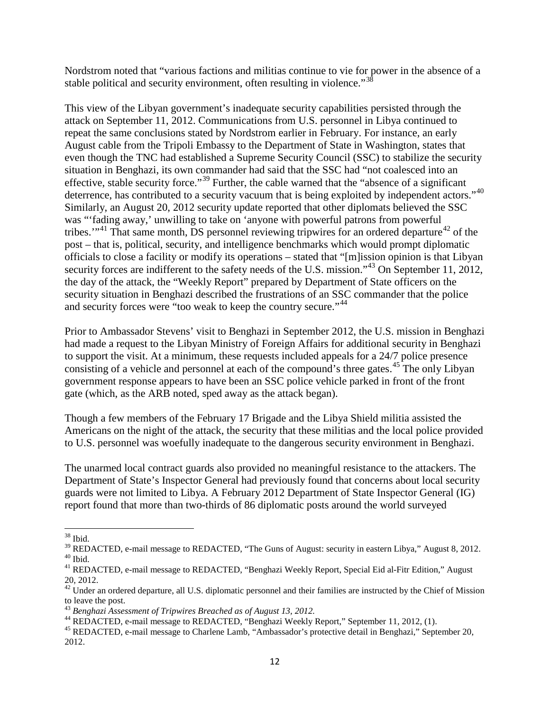Nordstrom noted that "various factions and militias continue to vie for power in the absence of a stable political and security environment, often resulting in violence."<sup>[38](#page-14-0)</sup>

This view of the Libyan government's inadequate security capabilities persisted through the attack on September 11, 2012. Communications from U.S. personnel in Libya continued to repeat the same conclusions stated by Nordstrom earlier in February. For instance, an early August cable from the Tripoli Embassy to the Department of State in Washington, states that even though the TNC had established a Supreme Security Council (SSC) to stabilize the security situation in Benghazi, its own commander had said that the SSC had "not coalesced into an effective, stable security force."[39](#page-14-1) Further, the cable warned that the "absence of a significant deterrence, has contributed to a security vacuum that is being exploited by independent actors."<sup>[40](#page-14-2)</sup> Similarly, an August 20, 2012 security update reported that other diplomats believed the SSC was "'fading away,' unwilling to take on 'anyone with powerful patrons from powerful tribes."<sup>[41](#page-14-3)</sup> That same month, DS personnel reviewing tripwires for an ordered departure<sup>[42](#page-14-4)</sup> of the post – that is, political, security, and intelligence benchmarks which would prompt diplomatic officials to close a facility or modify its operations – stated that "[m]ission opinion is that Libyan security forces are indifferent to the safety needs of the U.S. mission."<sup>[43](#page-14-5)</sup> On September 11, 2012, the day of the attack, the "Weekly Report" prepared by Department of State officers on the security situation in Benghazi described the frustrations of an SSC commander that the police and security forces were "too weak to keep the country secure."<sup>[44](#page-14-6)</sup>

Prior to Ambassador Stevens' visit to Benghazi in September 2012, the U.S. mission in Benghazi had made a request to the Libyan Ministry of Foreign Affairs for additional security in Benghazi to support the visit. At a minimum, these requests included appeals for a 24/7 police presence consisting of a vehicle and personnel at each of the compound's three gates.<sup>[45](#page-14-7)</sup> The only Libyan government response appears to have been an SSC police vehicle parked in front of the front gate (which, as the ARB noted, sped away as the attack began).

Though a few members of the February 17 Brigade and the Libya Shield militia assisted the Americans on the night of the attack, the security that these militias and the local police provided to U.S. personnel was woefully inadequate to the dangerous security environment in Benghazi.

The unarmed local contract guards also provided no meaningful resistance to the attackers. The Department of State's Inspector General had previously found that concerns about local security guards were not limited to Libya. A February 2012 Department of State Inspector General (IG) report found that more than two-thirds of 86 diplomatic posts around the world surveyed

<span id="page-14-1"></span><span id="page-14-0"></span> $38$  Ibid.<br> $39$  REDACTED, e-mail message to REDACTED, "The Guns of August: security in eastern Libya," August 8, 2012. <sup>40</sup> Ibid.<br><sup>41</sup> REDACTED, e-mail message to REDACTED, "Benghazi Weekly Report, Special Eid al-Fitr Edition," August

<span id="page-14-3"></span><span id="page-14-2"></span><sup>20, 2012.</sup>

<span id="page-14-4"></span> $42$  Under an ordered departure, all U.S. diplomatic personnel and their families are instructed by the Chief of Mission to leave the post.<br> $43$  Benghazi Assessment of Tripwires Breached as of August 13, 2012.

<span id="page-14-5"></span>

<span id="page-14-6"></span><sup>&</sup>lt;sup>44</sup> REDACTED, e-mail message to REDACTED, "Benghazi Weekly Report," September 11, 2012, (1).<br><sup>45</sup> REDACTED, e-mail message to Charlene Lamb, "Ambassador's protective detail in Benghazi," September 20,

<span id="page-14-7"></span><sup>2012.</sup>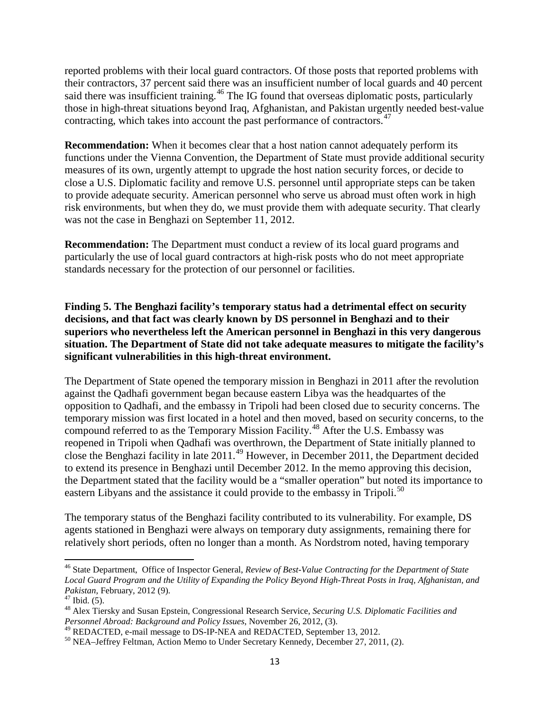reported problems with their local guard contractors. Of those posts that reported problems with their contractors, 37 percent said there was an insufficient number of local guards and 40 percent said there was insufficient training.<sup>[46](#page-15-0)</sup> The IG found that overseas diplomatic posts, particularly those in high-threat situations beyond Iraq, Afghanistan, and Pakistan urgently needed best-value contracting, which takes into account the past performance of contractors. [47](#page-15-1)

**Recommendation:** When it becomes clear that a host nation cannot adequately perform its functions under the Vienna Convention, the Department of State must provide additional security measures of its own, urgently attempt to upgrade the host nation security forces, or decide to close a U.S. Diplomatic facility and remove U.S. personnel until appropriate steps can be taken to provide adequate security. American personnel who serve us abroad must often work in high risk environments, but when they do, we must provide them with adequate security. That clearly was not the case in Benghazi on September 11, 2012.

**Recommendation:** The Department must conduct a review of its local guard programs and particularly the use of local guard contractors at high-risk posts who do not meet appropriate standards necessary for the protection of our personnel or facilities.

**Finding 5. The Benghazi facility's temporary status had a detrimental effect on security decisions, and that fact was clearly known by DS personnel in Benghazi and to their superiors who nevertheless left the American personnel in Benghazi in this very dangerous situation. The Department of State did not take adequate measures to mitigate the facility's significant vulnerabilities in this high-threat environment.** 

The Department of State opened the temporary mission in Benghazi in 2011 after the revolution against the Qadhafi government began because eastern Libya was the headquartes of the opposition to Qadhafi, and the embassy in Tripoli had been closed due to security concerns. The temporary mission was first located in a hotel and then moved, based on security concerns, to the compound referred to as the Temporary Mission Facility.<sup>[48](#page-15-2)</sup> After the U.S. Embassy was reopened in Tripoli when Qadhafi was overthrown, the Department of State initially planned to close the Benghazi facility in late 2011.[49](#page-15-3) However, in December 2011, the Department decided to extend its presence in Benghazi until December 2012. In the memo approving this decision, the Department stated that the facility would be a "smaller operation" but noted its importance to eastern Libyans and the assistance it could provide to the embassy in Tripoli.<sup>[50](#page-15-4)</sup>

The temporary status of the Benghazi facility contributed to its vulnerability. For example, DS agents stationed in Benghazi were always on temporary duty assignments, remaining there for relatively short periods, often no longer than a month. As Nordstrom noted, having temporary

<span id="page-15-0"></span><sup>46</sup> State Department, Office of Inspector General, *Review of Best-Value Contracting for the Department of State Local Guard Program and the Utility of Expanding the Policy Beyond High-Threat Posts in Iraq, Afghanistan, and* 

<span id="page-15-2"></span><span id="page-15-1"></span>

*Pakistan*, February, 2012 (9).<br><sup>47</sup> Ibid. (5).<br><sup>48</sup> Alex Tiersky and Susan Epstein, Congressional Research Service, *Securing U.S. Diplomatic Facilities and*<br>*Personnel Abroad: Background and Policy Issues*, November 26,

<span id="page-15-3"></span><sup>&</sup>lt;sup>49</sup> REDACTED, e-mail message to DS-IP-NEA and REDACTED, September 13, 2012.<br><sup>50</sup> NEA–Jeffrey Feltman, Action Memo to Under Secretary Kennedy, December 27, 2011, (2).

<span id="page-15-4"></span>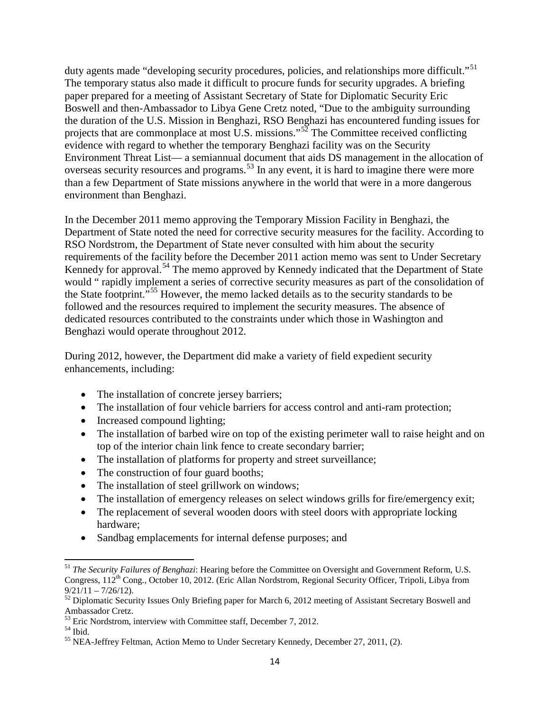duty agents made "developing security procedures, policies, and relationships more difficult."<sup>[51](#page-16-0)</sup> The temporary status also made it difficult to procure funds for security upgrades. A briefing paper prepared for a meeting of Assistant Secretary of State for Diplomatic Security Eric Boswell and then-Ambassador to Libya Gene Cretz noted, "Due to the ambiguity surrounding the duration of the U.S. Mission in Benghazi, RSO Benghazi has encountered funding issues for projects that are commonplace at most U.S. missions."<sup>[52](#page-16-1)</sup> The Committee received conflicting evidence with regard to whether the temporary Benghazi facility was on the Security Environment Threat List— a semiannual document that aids DS management in the allocation of overseas security resources and programs.<sup>[53](#page-16-2)</sup> In any event, it is hard to imagine there were more than a few Department of State missions anywhere in the world that were in a more dangerous environment than Benghazi.

In the December 2011 memo approving the Temporary Mission Facility in Benghazi, the Department of State noted the need for corrective security measures for the facility. According to RSO Nordstrom, the Department of State never consulted with him about the security requirements of the facility before the December 2011 action memo was sent to Under Secretary Kennedy for approval.<sup>[54](#page-16-3)</sup> The memo approved by Kennedy indicated that the Department of State would " rapidly implement a series of corrective security measures as part of the consolidation of the State footprint."[55](#page-16-4) However, the memo lacked details as to the security standards to be followed and the resources required to implement the security measures. The absence of dedicated resources contributed to the constraints under which those in Washington and Benghazi would operate throughout 2012.

During 2012, however, the Department did make a variety of field expedient security enhancements, including:

- The installation of concrete jersey barriers;
- The installation of four vehicle barriers for access control and anti-ram protection;
- Increased compound lighting;
- The installation of barbed wire on top of the existing perimeter wall to raise height and on top of the interior chain link fence to create secondary barrier;
- The installation of platforms for property and street surveillance;
- The construction of four guard booths;
- The installation of steel grillwork on windows;
- The installation of emergency releases on select windows grills for fire/emergency exit;
- The replacement of several wooden doors with steel doors with appropriate locking hardware;
- Sandbag emplacements for internal defense purposes; and

<span id="page-16-0"></span><sup>51</sup> *The Security Failures of Benghazi*: Hearing before the Committee on Oversight and Government Reform, U.S. Congress, 112th Cong., October 10, 2012. (Eric Allan Nordstrom, Regional Security Officer, Tripoli, Libya from  $9/21/11 - 7/26/12$ .<br><sup>52</sup> Diplomatic Security Issues Only Briefing paper for March 6, 2012 meeting of Assistant Secretary Boswell and

<span id="page-16-1"></span>Ambassador Cretz.<br><sup>53</sup> Eric Nordstrom, interview with Committee staff, December 7, 2012.

<span id="page-16-4"></span><span id="page-16-3"></span><span id="page-16-2"></span> $^{54}$  Ibid.<br><sup>55</sup> NEA-Jeffrey Feltman, Action Memo to Under Secretary Kennedy, December 27, 2011, (2).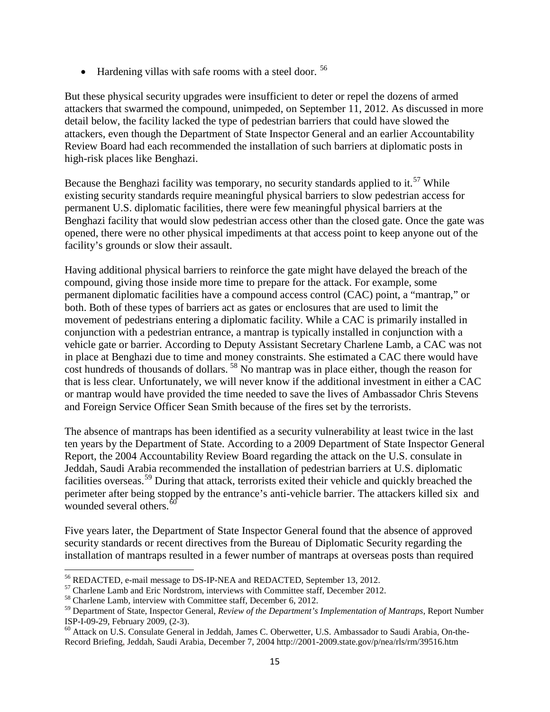• Hardening villas with safe rooms with a steel door. <sup>[56](#page-17-0)</sup>

But these physical security upgrades were insufficient to deter or repel the dozens of armed attackers that swarmed the compound, unimpeded, on September 11, 2012. As discussed in more detail below, the facility lacked the type of pedestrian barriers that could have slowed the attackers, even though the Department of State Inspector General and an earlier Accountability Review Board had each recommended the installation of such barriers at diplomatic posts in high-risk places like Benghazi.

Because the Benghazi facility was temporary, no security standards applied to it.<sup>[57](#page-17-1)</sup> While existing security standards require meaningful physical barriers to slow pedestrian access for permanent U.S. diplomatic facilities, there were few meaningful physical barriers at the Benghazi facility that would slow pedestrian access other than the closed gate. Once the gate was opened, there were no other physical impediments at that access point to keep anyone out of the facility's grounds or slow their assault.

Having additional physical barriers to reinforce the gate might have delayed the breach of the compound, giving those inside more time to prepare for the attack. For example, some permanent diplomatic facilities have a compound access control (CAC) point, a "mantrap," or both. Both of these types of barriers act as gates or enclosures that are used to limit the movement of pedestrians entering a diplomatic facility. While a CAC is primarily installed in conjunction with a pedestrian entrance, a mantrap is typically installed in conjunction with a vehicle gate or barrier. According to Deputy Assistant Secretary Charlene Lamb, a CAC was not in place at Benghazi due to time and money constraints. She estimated a CAC there would have cost hundreds of thousands of dollars. [58](#page-17-2) No mantrap was in place either, though the reason for that is less clear. Unfortunately, we will never know if the additional investment in either a CAC or mantrap would have provided the time needed to save the lives of Ambassador Chris Stevens and Foreign Service Officer Sean Smith because of the fires set by the terrorists.

The absence of mantraps has been identified as a security vulnerability at least twice in the last ten years by the Department of State. According to a 2009 Department of State Inspector General Report, the 2004 Accountability Review Board regarding the attack on the U.S. consulate in Jeddah, Saudi Arabia recommended the installation of pedestrian barriers at U.S. diplomatic facilities overseas.<sup>[59](#page-17-3)</sup> During that attack, terrorists exited their vehicle and quickly breached the perimeter after being stopped by the entrance's anti-vehicle barrier. The attackers killed six and wounded several others.<sup>[60](#page-17-4)</sup>

Five years later, the Department of State Inspector General found that the absence of approved security standards or recent directives from the Bureau of Diplomatic Security regarding the installation of mantraps resulted in a fewer number of mantraps at overseas posts than required

<span id="page-17-1"></span><span id="page-17-0"></span><sup>&</sup>lt;sup>56</sup> REDACTED, e-mail message to DS-IP-NEA and REDACTED, September 13, 2012.<br><sup>57</sup> Charlene Lamb and Eric Nordstrom, interviews with Committee staff, December 2012.<br><sup>58</sup> Charlene Lamb, interview with Committee staff, Decem

<span id="page-17-2"></span>

<span id="page-17-3"></span><sup>&</sup>lt;sup>59</sup> Department of State, Inspector General, *Review of the Department's Implementation of Mantraps*, Report Number ISP-I-09-29, February 2009, (2-3).

<span id="page-17-4"></span><sup>&</sup>lt;sup>60</sup> Attack on U.S. Consulate General in Jeddah, James C. Oberwetter, U.S. Ambassador to Saudi Arabia, On-the-Record Briefing, Jeddah, Saudi Arabia, December 7, 2004 http://2001-2009.state.gov/p/nea/rls/rm/39516.htm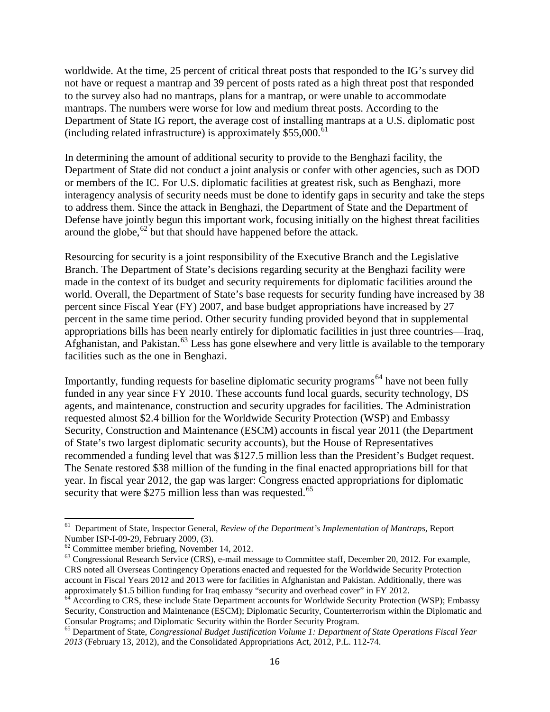worldwide. At the time, 25 percent of critical threat posts that responded to the IG's survey did not have or request a mantrap and 39 percent of posts rated as a high threat post that responded to the survey also had no mantraps, plans for a mantrap, or were unable to accommodate mantraps. The numbers were worse for low and medium threat posts. According to the Department of State IG report, the average cost of installing mantraps at a U.S. diplomatic post (including related infrastructure) is approximately  $$55,000$ .<sup>[61](#page-18-0)</sup>

In determining the amount of additional security to provide to the Benghazi facility, the Department of State did not conduct a joint analysis or confer with other agencies, such as DOD or members of the IC. For U.S. diplomatic facilities at greatest risk, such as Benghazi, more interagency analysis of security needs must be done to identify gaps in security and take the steps to address them. Since the attack in Benghazi, the Department of State and the Department of Defense have jointly begun this important work, focusing initially on the highest threat facilities around the globe,<sup>[62](#page-18-1)</sup> but that should have happened before the attack.

Resourcing for security is a joint responsibility of the Executive Branch and the Legislative Branch. The Department of State's decisions regarding security at the Benghazi facility were made in the context of its budget and security requirements for diplomatic facilities around the world. Overall, the Department of State's base requests for security funding have increased by 38 percent since Fiscal Year (FY) 2007, and base budget appropriations have increased by 27 percent in the same time period. Other security funding provided beyond that in supplemental appropriations bills has been nearly entirely for diplomatic facilities in just three countries—Iraq, Afghanistan, and Pakistan. [63](#page-18-2) Less has gone elsewhere and very little is available to the temporary facilities such as the one in Benghazi.

Importantly, funding requests for baseline diplomatic security programs<sup>[64](#page-18-3)</sup> have not been fully funded in any year since FY 2010. These accounts fund local guards, security technology, DS agents, and maintenance, construction and security upgrades for facilities. The Administration requested almost \$2.4 billion for the Worldwide Security Protection (WSP) and Embassy Security, Construction and Maintenance (ESCM) accounts in fiscal year 2011 (the Department of State's two largest diplomatic security accounts), but the House of Representatives recommended a funding level that was \$127.5 million less than the President's Budget request. The Senate restored \$38 million of the funding in the final enacted appropriations bill for that year. In fiscal year 2012, the gap was larger: Congress enacted appropriations for diplomatic security that were \$275 million less than was requested.<sup>[65](#page-18-4)</sup>

<span id="page-18-0"></span><sup>&</sup>lt;sup>61</sup> Department of State, Inspector General, *Review of the Department's Implementation of Mantraps*, Report Number ISP-I-09-29, February 2009, (3).

<span id="page-18-2"></span><span id="page-18-1"></span> $^{62}$  Committee member briefing, November 14, 2012.<br><sup>63</sup> Congressional Research Service (CRS), e-mail message to Committee staff, December 20, 2012. For example, CRS noted all Overseas Contingency Operations enacted and requested for the Worldwide Security Protection account in Fiscal Years 2012 and 2013 were for facilities in Afghanistan and Pakistan. Additionally, there was approximately \$1.5 billion funding for Iraq embassy "security and overhead cover" in FY 2012.

<span id="page-18-3"></span><sup>&</sup>lt;sup>64</sup> According to CRS, these include State Department accounts for Worldwide Security Protection (WSP); Embassy Security, Construction and Maintenance (ESCM); Diplomatic Security, Counterterrorism within the Diplomatic and

<span id="page-18-4"></span>Consular Programs; and Diplomatic Security within the Border Security Program. <sup>65</sup> Department of State, *Congressional Budget Justification Volume 1: Department of State Operations Fiscal Year 2013* (February 13, 2012), and the Consolidated Appropriations Act, 2012, P.L. 112-74.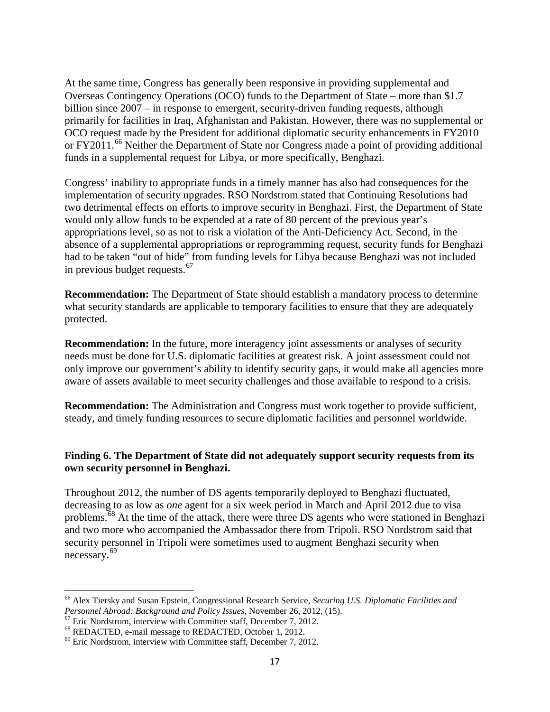At the same time, Congress has generally been responsive in providing supplemental and Overseas Contingency Operations (OCO) funds to the Department of State – more than \$1.7 billion since 2007 – in response to emergent, security-driven funding requests, although primarily for facilities in Iraq, Afghanistan and Pakistan. However, there was no supplemental or OCO request made by the President for additional diplomatic security enhancements in FY2010 or FY2011.<sup>[66](#page-19-0)</sup> Neither the Department of State nor Congress made a point of providing additional funds in a supplemental request for Libya, or more specifically, Benghazi.

Congress' inability to appropriate funds in a timely manner has also had consequences for the implementation of security upgrades. RSO Nordstrom stated that Continuing Resolutions had two detrimental effects on efforts to improve security in Benghazi. First, the Department of State would only allow funds to be expended at a rate of 80 percent of the previous year's appropriations level, so as not to risk a violation of the Anti-Deficiency Act. Second, in the absence of a supplemental appropriations or reprogramming request, security funds for Benghazi had to be taken "out of hide" from funding levels for Libya because Benghazi was not included in previous budget requests.[67](#page-19-1)

**Recommendation:** The Department of State should establish a mandatory process to determine what security standards are applicable to temporary facilities to ensure that they are adequately protected.

**Recommendation:** In the future, more interagency joint assessments or analyses of security needs must be done for U.S. diplomatic facilities at greatest risk. A joint assessment could not only improve our government's ability to identify security gaps, it would make all agencies more aware of assets available to meet security challenges and those available to respond to a crisis.

**Recommendation:** The Administration and Congress must work together to provide sufficient, steady, and timely funding resources to secure diplomatic facilities and personnel worldwide.

## **Finding 6. The Department of State did not adequately support security requests from its own security personnel in Benghazi.**

Throughout 2012, the number of DS agents temporarily deployed to Benghazi fluctuated, decreasing to as low as *one* agent for a six week period in March and April 2012 due to visa problems.[68](#page-19-2) At the time of the attack, there were three DS agents who were stationed in Benghazi and two more who accompanied the Ambassador there from Tripoli. RSO Nordstrom said that security personnel in Tripoli were sometimes used to augment Benghazi security when necessary.[69](#page-19-3)

<span id="page-19-0"></span><sup>&</sup>lt;sup>66</sup> Alex Tiersky and Susan Epstein, Congressional Research Service, *Securing U.S. Diplomatic Facilities and Personnel Abroad: Background and Policy Issues, November 26, 2012, (15).* 

<span id="page-19-2"></span><span id="page-19-1"></span>

<span id="page-19-3"></span>

<sup>&</sup>lt;sup>67</sup> Eric Nordstrom, interview with Committee staff, December 7, 2012.<br><sup>68</sup> REDACTED, e-mail message to REDACTED, October 1, 2012.<br><sup>69</sup> Eric Nordstrom, interview with Committee staff, December 7, 2012.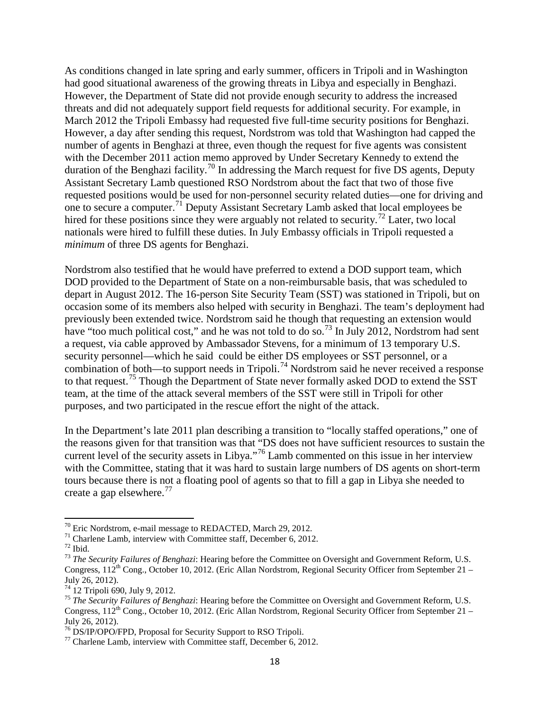As conditions changed in late spring and early summer, officers in Tripoli and in Washington had good situational awareness of the growing threats in Libya and especially in Benghazi. However, the Department of State did not provide enough security to address the increased threats and did not adequately support field requests for additional security. For example, in March 2012 the Tripoli Embassy had requested five full-time security positions for Benghazi. However, a day after sending this request, Nordstrom was told that Washington had capped the number of agents in Benghazi at three, even though the request for five agents was consistent with the December 2011 action memo approved by Under Secretary Kennedy to extend the duration of the Benghazi facility.<sup>[70](#page-20-0)</sup> In addressing the March request for five DS agents, Deputy Assistant Secretary Lamb questioned RSO Nordstrom about the fact that two of those five requested positions would be used for non-personnel security related duties—one for driving and one to secure a computer.<sup>[71](#page-20-1)</sup> Deputy Assistant Secretary Lamb asked that local employees be hired for these positions since they were arguably not related to security.<sup>[72](#page-20-2)</sup> Later, two local nationals were hired to fulfill these duties. In July Embassy officials in Tripoli requested a *minimum* of three DS agents for Benghazi.

Nordstrom also testified that he would have preferred to extend a DOD support team, which DOD provided to the Department of State on a non-reimbursable basis, that was scheduled to depart in August 2012. The 16-person Site Security Team (SST) was stationed in Tripoli, but on occasion some of its members also helped with security in Benghazi. The team's deployment had previously been extended twice. Nordstrom said he though that requesting an extension would have "too much political cost," and he was not told to do so.<sup>[73](#page-20-3)</sup> In July 2012, Nordstrom had sent a request, via cable approved by Ambassador Stevens, for a minimum of 13 temporary U.S. security personnel—which he said could be either DS employees or SST personnel, or a combination of both—to support needs in Tripoli.<sup>[74](#page-20-4)</sup> Nordstrom said he never received a response to that request.<sup>[75](#page-20-5)</sup> Though the Department of State never formally asked DOD to extend the SST team, at the time of the attack several members of the SST were still in Tripoli for other purposes, and two participated in the rescue effort the night of the attack.

In the Department's late 2011 plan describing a transition to "locally staffed operations," one of the reasons given for that transition was that "DS does not have sufficient resources to sustain the current level of the security assets in Libya."[76](#page-20-6) Lamb commented on this issue in her interview with the Committee, stating that it was hard to sustain large numbers of DS agents on short-term tours because there is not a floating pool of agents so that to fill a gap in Libya she needed to create a gap elsewhere. $^{77}$  $^{77}$  $^{77}$ 

<span id="page-20-3"></span><span id="page-20-2"></span>

<span id="page-20-1"></span><span id="page-20-0"></span><sup>&</sup>lt;sup>70</sup> Eric Nordstrom, e-mail message to REDACTED, March 29, 2012.<br><sup>71</sup> Charlene Lamb, interview with Committee staff, December 6, 2012.<br><sup>72</sup> Ibid.<br><sup>73</sup> The Security Failures of Benghazi: Hearing before the Committee on Ove Congress,  $112^{th}$  Cong., October 10, 2012. (Eric Allan Nordstrom, Regional Security Officer from September 21 – July 26, 2012).<br><sup>74</sup> 12 Tripoli 690, July 9, 2012.

<span id="page-20-5"></span><span id="page-20-4"></span><sup>&</sup>lt;sup>75</sup> The Security Failures of Benghazi: Hearing before the Committee on Oversight and Government Reform, U.S. Congress,  $112^{th}$  Cong., October 10, 2012. (Eric Allan Nordstrom, Regional Security Officer from September 21 – July 26, 2012).

<span id="page-20-7"></span><span id="page-20-6"></span> $^{76}$  DS/IP/OPO/FPD, Proposal for Security Support to RSO Tripoli.<br> $^{77}$  Charlene Lamb, interview with Committee staff, December 6, 2012.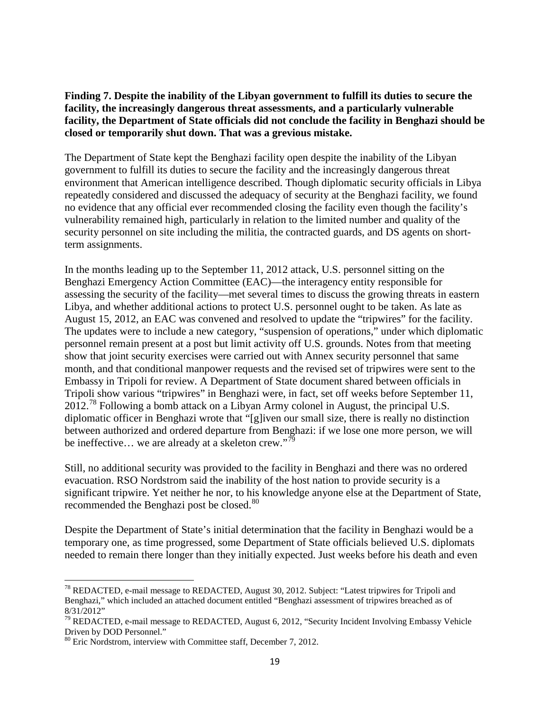**Finding 7. Despite the inability of the Libyan government to fulfill its duties to secure the facility, the increasingly dangerous threat assessments, and a particularly vulnerable facility, the Department of State officials did not conclude the facility in Benghazi should be closed or temporarily shut down. That was a grevious mistake.**

The Department of State kept the Benghazi facility open despite the inability of the Libyan government to fulfill its duties to secure the facility and the increasingly dangerous threat environment that American intelligence described. Though diplomatic security officials in Libya repeatedly considered and discussed the adequacy of security at the Benghazi facility, we found no evidence that any official ever recommended closing the facility even though the facility's vulnerability remained high, particularly in relation to the limited number and quality of the security personnel on site including the militia, the contracted guards, and DS agents on shortterm assignments.

In the months leading up to the September 11, 2012 attack, U.S. personnel sitting on the Benghazi Emergency Action Committee (EAC)—the interagency entity responsible for assessing the security of the facility—met several times to discuss the growing threats in eastern Libya, and whether additional actions to protect U.S. personnel ought to be taken. As late as August 15, 2012, an EAC was convened and resolved to update the "tripwires" for the facility. The updates were to include a new category, "suspension of operations," under which diplomatic personnel remain present at a post but limit activity off U.S. grounds. Notes from that meeting show that joint security exercises were carried out with Annex security personnel that same month, and that conditional manpower requests and the revised set of tripwires were sent to the Embassy in Tripoli for review. A Department of State document shared between officials in Tripoli show various "tripwires" in Benghazi were, in fact, set off weeks before September 11,  $2012.^{78}$  $2012.^{78}$  $2012.^{78}$  Following a bomb attack on a Libyan Army colonel in August, the principal U.S. diplomatic officer in Benghazi wrote that "[g]iven our small size, there is really no distinction between authorized and ordered departure from Benghazi: if we lose one more person, we will be ineffective... we are already at a skeleton crew."<sup>[79](#page-21-1)</sup>

Still, no additional security was provided to the facility in Benghazi and there was no ordered evacuation. RSO Nordstrom said the inability of the host nation to provide security is a significant tripwire. Yet neither he nor, to his knowledge anyone else at the Department of State, recommended the Benghazi post be closed.<sup>[80](#page-21-2)</sup>

Despite the Department of State's initial determination that the facility in Benghazi would be a temporary one, as time progressed, some Department of State officials believed U.S. diplomats needed to remain there longer than they initially expected. Just weeks before his death and even

<span id="page-21-0"></span><sup>&</sup>lt;sup>78</sup> REDACTED, e-mail message to REDACTED, August 30, 2012. Subject: "Latest tripwires for Tripoli and Benghazi," which included an attached document entitled "Benghazi assessment of tripwires breached as of 8/31/2012"

<span id="page-21-1"></span> $79$  REDACTED, e-mail message to REDACTED, August 6, 2012, "Security Incident Involving Embassy Vehicle Driven by DOD Personnel."

<span id="page-21-2"></span><sup>&</sup>lt;sup>80</sup> Eric Nordstrom, interview with Committee staff, December 7, 2012.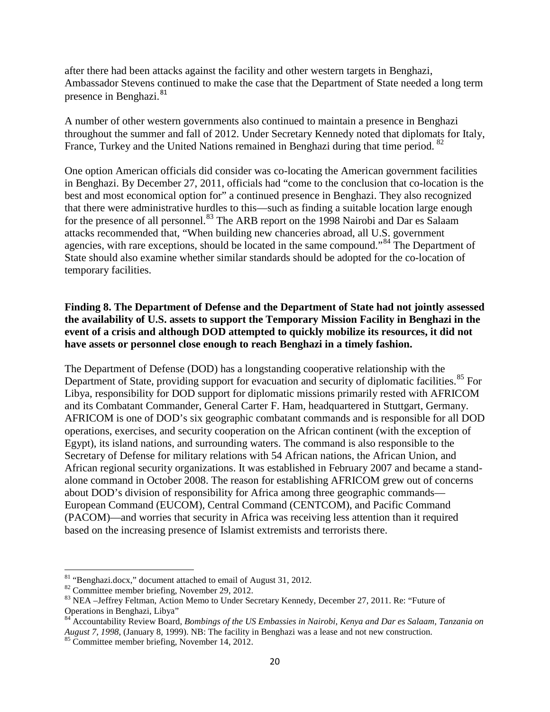after there had been attacks against the facility and other western targets in Benghazi, Ambassador Stevens continued to make the case that the Department of State needed a long term presence in Benghazi.<sup>[81](#page-22-0)</sup>

A number of other western governments also continued to maintain a presence in Benghazi throughout the summer and fall of 2012. Under Secretary Kennedy noted that diplomats for Italy, France, Turkey and the United Nations remained in Benghazi during that time period. <sup>[82](#page-22-1)</sup>

One option American officials did consider was co-locating the American government facilities in Benghazi. By December 27, 2011, officials had "come to the conclusion that co-location is the best and most economical option for" a continued presence in Benghazi. They also recognized that there were administrative hurdles to this—such as finding a suitable location large enough for the presence of all personnel.<sup>[83](#page-22-2)</sup> The ARB report on the 1998 Nairobi and Dar es Salaam attacks recommended that, "When building new chanceries abroad, all U.S. government agencies, with rare exceptions, should be located in the same compound."<sup>[84](#page-22-3)</sup> The Department of State should also examine whether similar standards should be adopted for the co-location of temporary facilities.

## **Finding 8. The Department of Defense and the Department of State had not jointly assessed the availability of U.S. assets to support the Temporary Mission Facility in Benghazi in the event of a crisis and although DOD attempted to quickly mobilize its resources, it did not have assets or personnel close enough to reach Benghazi in a timely fashion.**

The Department of Defense (DOD) has a longstanding cooperative relationship with the Department of State, providing support for evacuation and security of diplomatic facilities.<sup>[85](#page-22-4)</sup> For Libya, responsibility for DOD support for diplomatic missions primarily rested with AFRICOM and its Combatant Commander, General Carter F. Ham, headquartered in Stuttgart, Germany. AFRICOM is one of DOD's six geographic combatant commands and is responsible for all DOD operations, exercises, and security cooperation on the African continent (with the exception of Egypt), its island nations, and surrounding waters. The command is also responsible to the Secretary of Defense for military relations with 54 African nations, the African Union, and African regional security organizations. It was established in February 2007 and became a standalone command in October 2008. The reason for establishing AFRICOM grew out of concerns about DOD's division of responsibility for Africa among three geographic commands— European Command (EUCOM), Central Command (CENTCOM), and Pacific Command (PACOM)—and worries that security in Africa was receiving less attention than it required based on the increasing presence of Islamist extremists and terrorists there.

<span id="page-22-2"></span><span id="page-22-1"></span>

<span id="page-22-0"></span><sup>&</sup>lt;sup>81</sup> "Benghazi.docx," document attached to email of August 31, 2012.<br><sup>82</sup> Committee member briefing, November 29, 2012.<br><sup>83</sup> NEA –Jeffrey Feltman, Action Memo to Under Secretary Kennedy, December 27, 2011. Re: "Future of Operations in Benghazi, Libya"

<span id="page-22-3"></span><sup>84</sup> Accountability Review Board, *Bombings of the US Embassies in Nairobi, Kenya and Dar es Salaam, Tanzania on August 7, 1998*, (January 8, 1999). NB: The facility in Benghazi was a lease and not new construction. <sup>85</sup> Committee member briefing, November 14, 2012.

<span id="page-22-4"></span>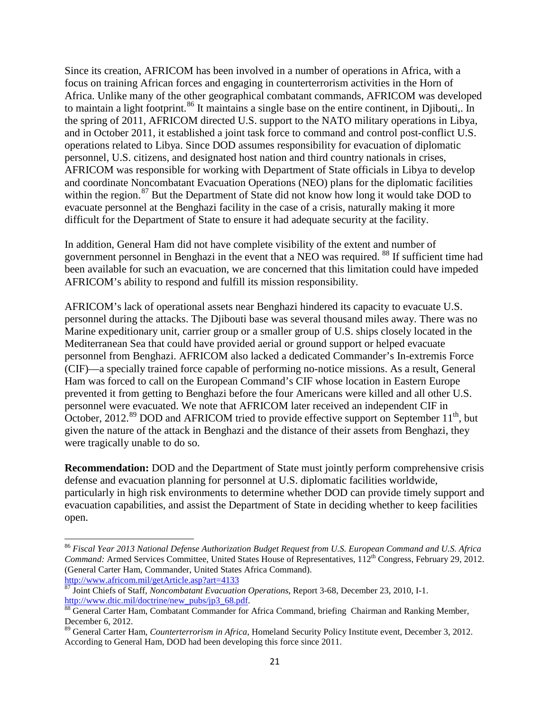Since its creation, AFRICOM has been involved in a number of operations in Africa, with a focus on training African forces and engaging in counterterrorism activities in the Horn of Africa. Unlike many of the other geographical combatant commands, AFRICOM was developed to maintain a light footprint.<sup>[86](#page-23-0)</sup> It maintains a single base on the entire continent, in Djibouti,. In the spring of 2011, AFRICOM directed U.S. support to the NATO military operations in Libya, and in October 2011, it established a joint task force to command and control post-conflict U.S. operations related to Libya. Since DOD assumes responsibility for evacuation of diplomatic personnel, U.S. citizens, and designated host nation and third country nationals in crises, AFRICOM was responsible for working with Department of State officials in Libya to develop and coordinate Noncombatant Evacuation Operations (NEO) plans for the diplomatic facilities within the region. $87$  But the Department of State did not know how long it would take DOD to evacuate personnel at the Benghazi facility in the case of a crisis, naturally making it more difficult for the Department of State to ensure it had adequate security at the facility.

In addition, General Ham did not have complete visibility of the extent and number of government personnel in Benghazi in the event that a NEO was required. [88](#page-23-2) If sufficient time had been available for such an evacuation, we are concerned that this limitation could have impeded AFRICOM's ability to respond and fulfill its mission responsibility.

AFRICOM's lack of operational assets near Benghazi hindered its capacity to evacuate U.S. personnel during the attacks. The Djibouti base was several thousand miles away. There was no Marine expeditionary unit, carrier group or a smaller group of U.S. ships closely located in the Mediterranean Sea that could have provided aerial or ground support or helped evacuate personnel from Benghazi. AFRICOM also lacked a dedicated Commander's In-extremis Force (CIF)—a specially trained force capable of performing no-notice missions. As a result, General Ham was forced to call on the European Command's CIF whose location in Eastern Europe prevented it from getting to Benghazi before the four Americans were killed and all other U.S. personnel were evacuated. We note that AFRICOM later received an independent CIF in October, 2012.<sup>[89](#page-23-3)</sup> DOD and AFRICOM tried to provide effective support on September 11<sup>th</sup>, but given the nature of the attack in Benghazi and the distance of their assets from Benghazi, they were tragically unable to do so.

**Recommendation:** DOD and the Department of State must jointly perform comprehensive crisis defense and evacuation planning for personnel at U.S. diplomatic facilities worldwide, particularly in high risk environments to determine whether DOD can provide timely support and evacuation capabilities, and assist the Department of State in deciding whether to keep facilities open.

<span id="page-23-0"></span><sup>86</sup> *Fiscal Year 2013 National Defense Authorization Budget Request from U.S. European Command and U.S. Africa Command: Armed Services Committee, United States House of Representatives, 112<sup>th</sup> Congress, February 29, 2012.* (General Carter Ham, Commander, United States Africa Command).

<span id="page-23-1"></span><http://www.africom.mil/getArticle.asp?art=4133><br><sup>87</sup> Joint Chiefs of Staff, *Noncombatant Evacuation Operations*, Report 3-68, December 23, 2010, I-1.<br>http://www.dtic.mil/doctrine/new\_pubs/jp3\_68.pdf.

<span id="page-23-2"></span><sup>88</sup> General Carter Ham, Combatant Commander for Africa Command, briefing Chairman and Ranking Member, December 6, 2012.

<span id="page-23-3"></span><sup>89</sup> General Carter Ham, *Counterterrorism in Africa*, Homeland Security Policy Institute event, December 3, 2012. According to General Ham, DOD had been developing this force since 2011.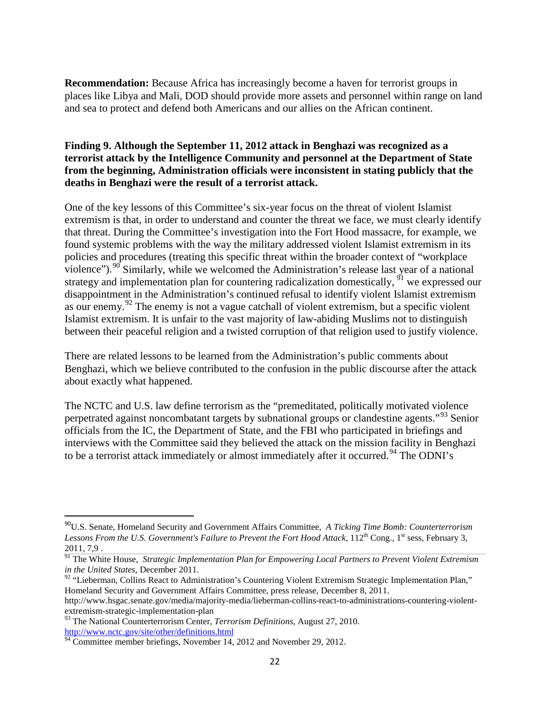**Recommendation:** Because Africa has increasingly become a haven for terrorist groups in places like Libya and Mali, DOD should provide more assets and personnel within range on land and sea to protect and defend both Americans and our allies on the African continent.

## **Finding 9. Although the September 11, 2012 attack in Benghazi was recognized as a terrorist attack by the Intelligence Community and personnel at the Department of State from the beginning, Administration officials were inconsistent in stating publicly that the deaths in Benghazi were the result of a terrorist attack.**

One of the key lessons of this Committee's six-year focus on the threat of violent Islamist extremism is that, in order to understand and counter the threat we face, we must clearly identify that threat. During the Committee's investigation into the Fort Hood massacre, for example, we found systemic problems with the way the military addressed violent Islamist extremism in its policies and procedures (treating this specific threat within the broader context of "workplace violence").<sup>[90](#page-24-0)</sup> Similarly, while we welcomed the Administration's release last year of a national strategy and implementation plan for countering radicalization domestically,  $\frac{91}{1}$  $\frac{91}{1}$  $\frac{91}{1}$  we expressed our disappointment in the Administration's continued refusal to identify violent Islamist extremism as our enemy.<sup>[92](#page-24-2)</sup> The enemy is not a vague catchall of violent extremism, but a specific violent Islamist extremism. It is unfair to the vast majority of law-abiding Muslims not to distinguish between their peaceful religion and a twisted corruption of that religion used to justify violence.

There are related lessons to be learned from the Administration's public comments about Benghazi, which we believe contributed to the confusion in the public discourse after the attack about exactly what happened.

The NCTC and U.S. law define terrorism as the "premeditated, politically motivated violence perpetrated against noncombatant targets by subnational groups or clandestine agents."[93](#page-24-3) Senior officials from the IC, the Department of State, and the FBI who participated in briefings and interviews with the Committee said they believed the attack on the mission facility in Benghazi to be a terrorist attack immediately or almost immediately after it occurred.<sup>[94](#page-24-4)</sup> The ODNI's

<span id="page-24-0"></span> <sup>90</sup>U.S. Senate, Homeland Security and Government Affairs Committee, *A Ticking Time Bomb: Counterterrorism Lessons From the U.S. Government's Failure to Prevent the Fort Hood Attack*, 112<sup>th</sup> Cong., 1<sup>st</sup> sess, February 3, 2011, 7,9 .

<span id="page-24-1"></span><sup>&</sup>lt;sup>91</sup> The White House, *Strategic Implementation Plan for Empowering Local Partners to Prevent Violent Extremism in the United States*, December 2011.

<span id="page-24-2"></span> $92$  "Lieberman, Collins React to Administration's Countering Violent Extremism Strategic Implementation Plan," Homeland Security and Government Affairs Committee, press release, December 8, 2011.

http://www.hsgac.senate.gov/media/majority-media/lieberman-collins-react-to-administrations-countering-violentextremism-strategic-implementation-plan

<span id="page-24-3"></span><sup>93</sup> The National Counterterrorism Center, *Terrorism Definitions*, August 27, 2010. <http://www.nctc.gov/site/other/definitions.html>

<span id="page-24-4"></span> $94$  Committee member briefings, November 14, 2012 and November 29, 2012.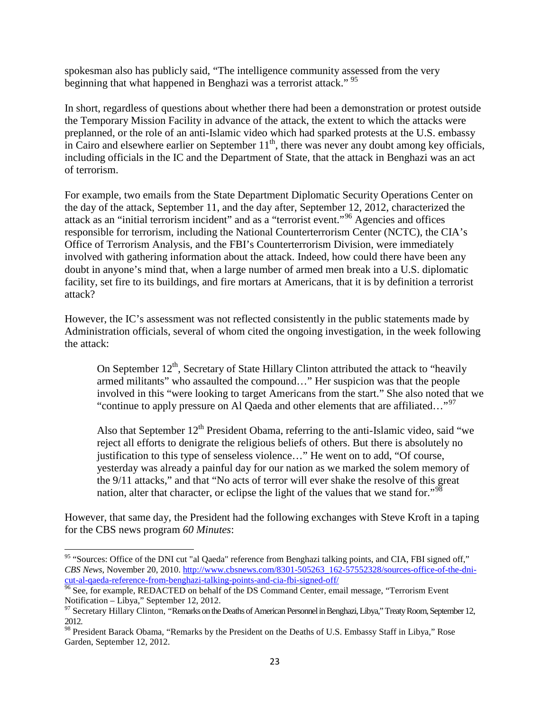spokesman also has publicly said, "The intelligence community assessed from the very beginning that what happened in Benghazi was a terrorist attack."<sup>[95](#page-25-0)</sup>

In short, regardless of questions about whether there had been a demonstration or protest outside the Temporary Mission Facility in advance of the attack, the extent to which the attacks were preplanned, or the role of an anti-Islamic video which had sparked protests at the U.S. embassy in Cairo and elsewhere earlier on September  $11<sup>th</sup>$ , there was never any doubt among key officials, including officials in the IC and the Department of State, that the attack in Benghazi was an act of terrorism.

For example, two emails from the State Department Diplomatic Security Operations Center on the day of the attack, September 11, and the day after, September 12, 2012, characterized the attack as an "initial terrorism incident" and as a "terrorist event."[96](#page-25-1) Agencies and offices responsible for terrorism, including the National Counterterrorism Center (NCTC), the CIA's Office of Terrorism Analysis, and the FBI's Counterterrorism Division, were immediately involved with gathering information about the attack. Indeed, how could there have been any doubt in anyone's mind that, when a large number of armed men break into a U.S. diplomatic facility, set fire to its buildings, and fire mortars at Americans, that it is by definition a terrorist attack?

However, the IC's assessment was not reflected consistently in the public statements made by Administration officials, several of whom cited the ongoing investigation, in the week following the attack:

On September  $12<sup>th</sup>$ , Secretary of State Hillary Clinton attributed the attack to "heavily armed militants" who assaulted the compound…" Her suspicion was that the people involved in this "were looking to target Americans from the start." She also noted that we "continue to apply pressure on Al Qaeda and other elements that are affiliated..."<sup>[97](#page-25-2)</sup>

Also that September  $12<sup>th</sup>$  President Obama, referring to the anti-Islamic video, said "we reject all efforts to denigrate the religious beliefs of others. But there is absolutely no justification to this type of senseless violence…" He went on to add, "Of course, yesterday was already a painful day for our nation as we marked the solem memory of the 9/11 attacks," and that "No acts of terror will ever shake the resolve of this great nation, alter that character, or eclipse the light of the values that we stand for."<sup>[98](#page-25-3)</sup>

However, that same day, the President had the following exchanges with Steve Kroft in a taping for the CBS news program *60 Minutes*:

<span id="page-25-0"></span><sup>&</sup>lt;sup>95</sup> "Sources: Office of the DNI cut "al Qaeda" reference from Benghazi talking points, and CIA, FBI signed off," *CBS News*, November 20, 2010[. http://www.cbsnews.com/8301-505263\\_162-57552328/sources-office-of-the-dni-](http://www.cbsnews.com/8301-505263_162-57552328/sources-office-of-the-dni-cut-al-qaeda-reference-from-benghazi-talking-points-and-cia-fbi-signed-off/)

<span id="page-25-1"></span>[cut-al-qaeda-reference-from-benghazi-talking-points-and-cia-fbi-signed-off/](http://www.cbsnews.com/8301-505263_162-57552328/sources-office-of-the-dni-cut-al-qaeda-reference-from-benghazi-talking-points-and-cia-fbi-signed-off/)<br><sup>96</sup> See, for example, REDACTED on behalf of the DS Command Center, email message, "Terrorism Event<br>Notification – Libya," September 12, 2012.

<span id="page-25-2"></span><sup>&</sup>lt;sup>97</sup> Secretary Hillary Clinton, "Remarks on the Deaths of American Personnel in Benghazi, Libya," Treaty Room, September 12, 2012.

<span id="page-25-3"></span><sup>&</sup>lt;sup>98</sup> President Barack Obama, "Remarks by the President on the Deaths of U.S. Embassy Staff in Libya," Rose Garden, September 12, 2012.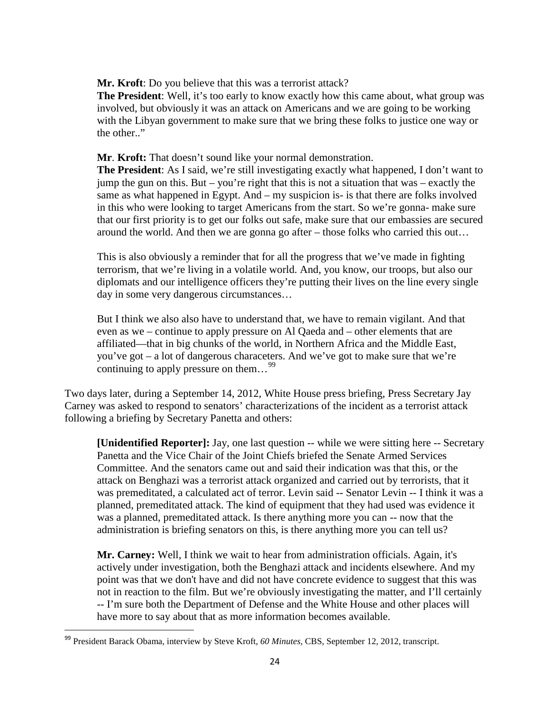**Mr. Kroft**: Do you believe that this was a terrorist attack?

**The President**: Well, it's too early to know exactly how this came about, what group was involved, but obviously it was an attack on Americans and we are going to be working with the Libyan government to make sure that we bring these folks to justice one way or the other."

### **Mr**. **Kroft:** That doesn't sound like your normal demonstration.

**The President**: As I said, we're still investigating exactly what happened, I don't want to jump the gun on this. But – you're right that this is not a situation that was – exactly the same as what happened in Egypt. And – my suspicion is- is that there are folks involved in this who were looking to target Americans from the start. So we're gonna- make sure that our first priority is to get our folks out safe, make sure that our embassies are secured around the world. And then we are gonna go after – those folks who carried this out…

This is also obviously a reminder that for all the progress that we've made in fighting terrorism, that we're living in a volatile world. And, you know, our troops, but also our diplomats and our intelligence officers they're putting their lives on the line every single day in some very dangerous circumstances…

But I think we also also have to understand that, we have to remain vigilant. And that even as we – continue to apply pressure on Al Qaeda and – other elements that are affiliated—that in big chunks of the world, in Northern Africa and the Middle East, you've got – a lot of dangerous characeters. And we've got to make sure that we're continuing to apply pressure on them...<sup>[99](#page-26-0)</sup>

Two days later, during a September 14, 2012, White House press briefing, Press Secretary Jay Carney was asked to respond to senators' characterizations of the incident as a terrorist attack following a briefing by Secretary Panetta and others:

**[Unidentified Reporter]:** Jay, one last question -- while we were sitting here -- Secretary Panetta and the Vice Chair of the Joint Chiefs briefed the Senate Armed Services Committee. And the senators came out and said their indication was that this, or the attack on Benghazi was a terrorist attack organized and carried out by terrorists, that it was premeditated, a calculated act of terror. Levin said -- Senator Levin -- I think it was a planned, premeditated attack. The kind of equipment that they had used was evidence it was a planned, premeditated attack. Is there anything more you can -- now that the administration is briefing senators on this, is there anything more you can tell us?

**Mr. Carney:** Well, I think we wait to hear from administration officials. Again, it's actively under investigation, both the Benghazi attack and incidents elsewhere. And my point was that we don't have and did not have concrete evidence to suggest that this was not in reaction to the film. But we're obviously investigating the matter, and I'll certainly -- I'm sure both the Department of Defense and the White House and other places will have more to say about that as more information becomes available.

<span id="page-26-0"></span> <sup>99</sup> President Barack Obama, interview by Steve Kroft, *60 Minutes,* CBS, September 12, 2012, transcript.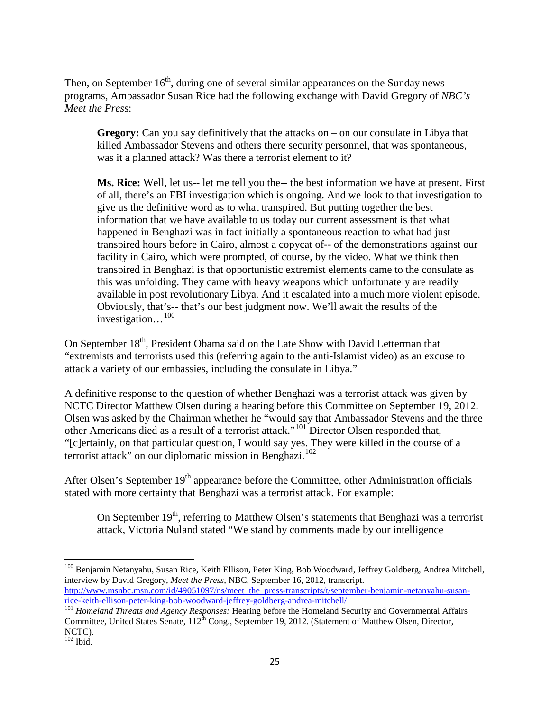Then, on September  $16<sup>th</sup>$ , during one of several similar appearances on the Sunday news programs, Ambassador Susan Rice had the following exchange with David Gregory of *NBC's Meet the Pres*s:

**Gregory:** Can you say definitively that the attacks on – on our consulate in Libya that killed Ambassador Stevens and others there security personnel, that was spontaneous, was it a planned attack? Was there a terrorist element to it?

**Ms. Rice:** Well, let us-- let me tell you the-- the best information we have at present. First of all, there's an FBI investigation which is ongoing. And we look to that investigation to give us the definitive word as to what transpired. But putting together the best information that we have available to us today our current assessment is that what happened in Benghazi was in fact initially a spontaneous reaction to what had just transpired hours before in Cairo, almost a copycat of-- of the demonstrations against our facility in Cairo, which were prompted, of course, by the video. What we think then transpired in Benghazi is that opportunistic extremist elements came to the consulate as this was unfolding. They came with heavy weapons which unfortunately are readily available in post revolutionary Libya. And it escalated into a much more violent episode. Obviously, that's-- that's our best judgment now. We'll await the results of the investigation…[100](#page-27-0)

On September 18<sup>th</sup>, President Obama said on the Late Show with David Letterman that "extremists and terrorists used this (referring again to the anti-Islamist video) as an excuse to attack a variety of our embassies, including the consulate in Libya."

A definitive response to the question of whether Benghazi was a terrorist attack was given by NCTC Director Matthew Olsen during a hearing before this Committee on September 19, 2012. Olsen was asked by the Chairman whether he "would say that Ambassador Stevens and the three other Americans died as a result of a terrorist attack."[101](#page-27-1) Director Olsen responded that, "[c]ertainly, on that particular question, I would say yes. They were killed in the course of a terrorist attack" on our diplomatic mission in Benghazi.<sup>[102](#page-27-2)</sup>

After Olsen's September  $19<sup>th</sup>$  appearance before the Committee, other Administration officials stated with more certainty that Benghazi was a terrorist attack. For example:

On September  $19<sup>th</sup>$ , referring to Matthew Olsen's statements that Benghazi was a terrorist attack, Victoria Nuland stated "We stand by comments made by our intelligence

<span id="page-27-0"></span><sup>100</sup> Beniamin Netanyahu, Susan Rice, Keith Ellison, Peter King, Bob Woodward, Jeffrey Goldberg, Andrea Mitchell, interview by David Gregory, *Meet the Press*, NBC, September 16, 2012, transcript. http://www.msnbc.msn.com/id/49051097/ns/meet\_the\_press-transcripts/t/september-benjamin-netanyahu-susan-<br>rice-keith-ellison-peter-king-bob-woodward-jeffrey-goldberg-andrea-mitchell/

<span id="page-27-1"></span><sup>&</sup>lt;sup>101</sup> Homeland Threats and Agency Responses: Hearing before the Homeland Security and Governmental Affairs Committee, United States Senate,  $112^{\text{th}}$  Cong., September 19, 2012. (Statement of Matthew Olsen, Director, NCTC).

<span id="page-27-2"></span> $102$  Ibid.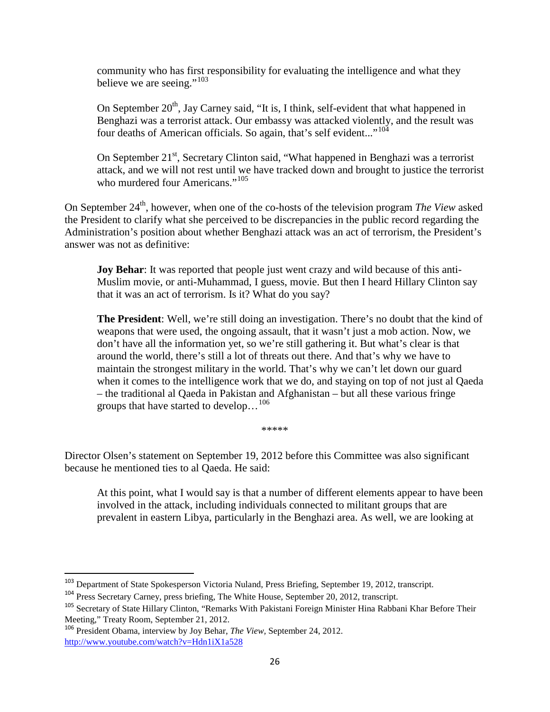community who has first responsibility for evaluating the intelligence and what they believe we are seeing." $103$ 

On September  $20<sup>th</sup>$ , Jay Carney said, "It is, I think, self-evident that what happened in Benghazi was a terrorist attack. Our embassy was attacked violently, and the result was four deaths of American officials. So again, that's self evident..."<sup>[104](#page-28-1)</sup>

On September 21<sup>st</sup>, Secretary Clinton said, "What happened in Benghazi was a terrorist attack, and we will not rest until we have tracked down and brought to justice the terrorist who murdered four Americans."<sup>[105](#page-28-2)</sup>

On September 24<sup>th</sup>, however, when one of the co-hosts of the television program *The View* asked the President to clarify what she perceived to be discrepancies in the public record regarding the Administration's position about whether Benghazi attack was an act of terrorism, the President's answer was not as definitive:

**Joy Behar**: It was reported that people just went crazy and wild because of this anti-Muslim movie, or anti-Muhammad, I guess, movie. But then I heard Hillary Clinton say that it was an act of terrorism. Is it? What do you say?

**The President**: Well, we're still doing an investigation. There's no doubt that the kind of weapons that were used, the ongoing assault, that it wasn't just a mob action. Now, we don't have all the information yet, so we're still gathering it. But what's clear is that around the world, there's still a lot of threats out there. And that's why we have to maintain the strongest military in the world. That's why we can't let down our guard when it comes to the intelligence work that we do, and staying on top of not just al Qaeda – the traditional al Qaeda in Pakistan and Afghanistan – but all these various fringe groups that have started to develop…[106](#page-28-3)

\*\*\*\*\*

Director Olsen's statement on September 19, 2012 before this Committee was also significant because he mentioned ties to al Qaeda. He said:

At this point, what I would say is that a number of different elements appear to have been involved in the attack, including individuals connected to militant groups that are prevalent in eastern Libya, particularly in the Benghazi area. As well, we are looking at

<span id="page-28-0"></span> <sup>103</sup> Department of State Spokesperson Victoria Nuland, Press Briefing, September 19, 2012, transcript.

<span id="page-28-1"></span><sup>&</sup>lt;sup>104</sup> Press Secretary Carney, press briefing, The White House, September 20, 2012, transcript.

<span id="page-28-2"></span><sup>105</sup> Secretary of State Hillary Clinton, "Remarks With Pakistani Foreign Minister Hina Rabbani Khar Before Their Meeting," Treaty Room, September 21, 2012.

<span id="page-28-3"></span><sup>106</sup> President Obama, interview by Joy Behar, *The View,* September 24, 2012. <http://www.youtube.com/watch?v=Hdn1iX1a528>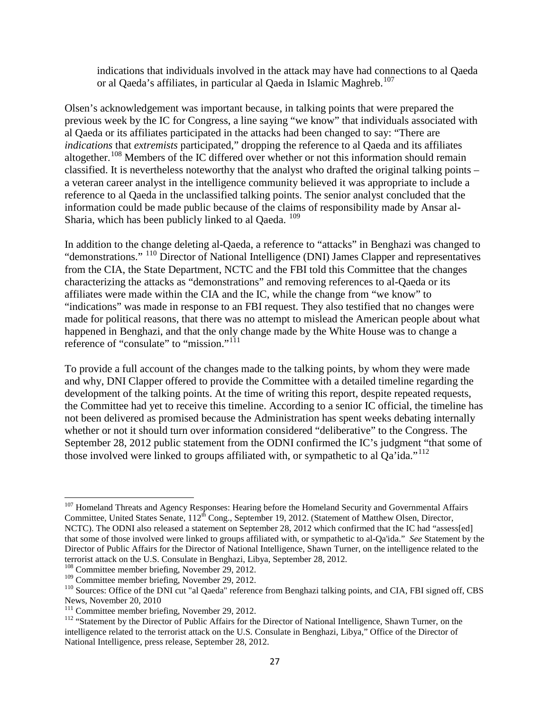indications that individuals involved in the attack may have had connections to al Qaeda or al Qaeda's affiliates, in particular al Qaeda in Islamic Maghreb.<sup>[107](#page-29-0)</sup>

Olsen's acknowledgement was important because, in talking points that were prepared the previous week by the IC for Congress, a line saying "we know" that individuals associated with al Qaeda or its affiliates participated in the attacks had been changed to say: "There are *indications* that *extremists* participated," dropping the reference to al Qaeda and its affiliates altogether.<sup>[108](#page-29-1)</sup> Members of the IC differed over whether or not this information should remain classified. It is nevertheless noteworthy that the analyst who drafted the original talking points – a veteran career analyst in the intelligence community believed it was appropriate to include a reference to al Qaeda in the unclassified talking points. The senior analyst concluded that the information could be made public because of the claims of responsibility made by Ansar al-Sharia, which has been publicly linked to al Qaeda. <sup>[109](#page-29-2)</sup>

In addition to the change deleting al-Qaeda, a reference to "attacks" in Benghazi was changed to "demonstrations." <sup>[110](#page-29-3)</sup> Director of National Intelligence (DNI) James Clapper and representatives from the CIA, the State Department, NCTC and the FBI told this Committee that the changes characterizing the attacks as "demonstrations" and removing references to al-Qaeda or its affiliates were made within the CIA and the IC, while the change from "we know" to "indications" was made in response to an FBI request. They also testified that no changes were made for political reasons, that there was no attempt to mislead the American people about what happened in Benghazi, and that the only change made by the White House was to change a reference of "consulate" to "mission."<sup>[111](#page-29-4)</sup>

To provide a full account of the changes made to the talking points, by whom they were made and why, DNI Clapper offered to provide the Committee with a detailed timeline regarding the development of the talking points. At the time of writing this report, despite repeated requests, the Committee had yet to receive this timeline. According to a senior IC official, the timeline has not been delivered as promised because the Administration has spent weeks debating internally whether or not it should turn over information considered "deliberative" to the Congress. The September 28, 2012 public statement from the ODNI confirmed the IC's judgment "that some of those involved were linked to groups affiliated with, or sympathetic to al  $\text{Oa'}$ ida."<sup>[112](#page-29-5)</sup>

<span id="page-29-0"></span><sup>&</sup>lt;sup>107</sup> Homeland Threats and Agency Responses: Hearing before the Homeland Security and Governmental Affairs Committee, United States Senate,  $112^{th}$  Cong., September 19, 2012. (Statement of Matthew Olsen, Director, NCTC). The ODNI also released a statement on September 28, 2012 which confirmed that the IC had "assess[ed] that some of those involved were linked to groups affiliated with, or sympathetic to al-Qa'ida." *See* Statement by the Director of Public Affairs for the Director of National Intelligence, Shawn Turner, on the intelligence related to the terrorist attack on the U.S. Consulate in Benghazi, Libya, September 28, 2012.

<span id="page-29-1"></span><sup>&</sup>lt;sup>108</sup> Committee member briefing, November 29, 2012.<br><sup>109</sup> Committee member briefing, November 29, 2012.

<span id="page-29-3"></span><span id="page-29-2"></span><sup>&</sup>lt;sup>110</sup> Sources: Office of the DNI cut "al Qaeda" reference from Benghazi talking points, and CIA, FBI signed off, CBS News, November 20, 2010<br><sup>111</sup> Committee member briefing, November 29, 2012.

<span id="page-29-5"></span><span id="page-29-4"></span><sup>&</sup>lt;sup>112</sup> "Statement by the Director of Public Affairs for the Director of National Intelligence, Shawn Turner, on the intelligence related to the terrorist attack on the U.S. Consulate in Benghazi, Libya," Office of the Director of National Intelligence, press release, September 28, 2012.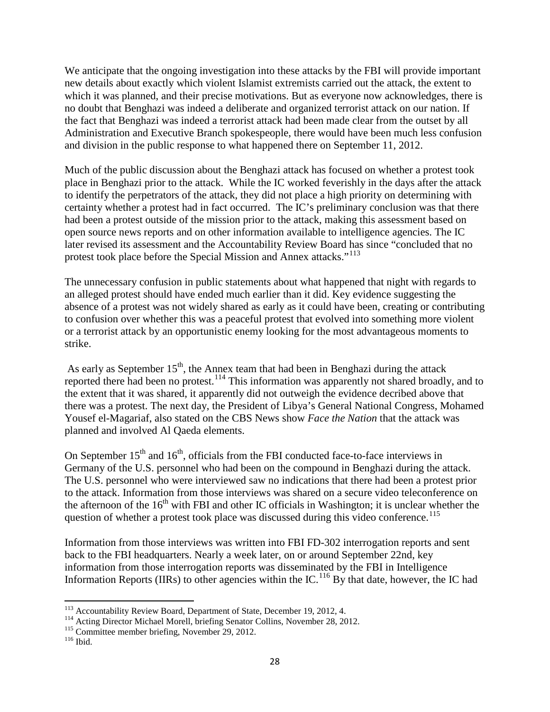We anticipate that the ongoing investigation into these attacks by the FBI will provide important new details about exactly which violent Islamist extremists carried out the attack, the extent to which it was planned, and their precise motivations. But as everyone now acknowledges, there is no doubt that Benghazi was indeed a deliberate and organized terrorist attack on our nation. If the fact that Benghazi was indeed a terrorist attack had been made clear from the outset by all Administration and Executive Branch spokespeople, there would have been much less confusion and division in the public response to what happened there on September 11, 2012.

Much of the public discussion about the Benghazi attack has focused on whether a protest took place in Benghazi prior to the attack. While the IC worked feverishly in the days after the attack to identify the perpetrators of the attack, they did not place a high priority on determining with certainty whether a protest had in fact occurred. The IC's preliminary conclusion was that there had been a protest outside of the mission prior to the attack, making this assessment based on open source news reports and on other information available to intelligence agencies. The IC later revised its assessment and the Accountability Review Board has since "concluded that no protest took place before the Special Mission and Annex attacks."<sup>[113](#page-30-0)</sup>

The unnecessary confusion in public statements about what happened that night with regards to an alleged protest should have ended much earlier than it did. Key evidence suggesting the absence of a protest was not widely shared as early as it could have been, creating or contributing to confusion over whether this was a peaceful protest that evolved into something more violent or a terrorist attack by an opportunistic enemy looking for the most advantageous moments to strike.

As early as September  $15<sup>th</sup>$ , the Annex team that had been in Benghazi during the attack reported there had been no protest.<sup>[114](#page-30-1)</sup> This information was apparently not shared broadly, and to the extent that it was shared, it apparently did not outweigh the evidence decribed above that there was a protest. The next day, the President of Libya's General National Congress, Mohamed Yousef el-Magariaf, also stated on the CBS News show *Face the Nation* that the attack was planned and involved Al Qaeda elements.

On September  $15<sup>th</sup>$  and  $16<sup>th</sup>$ , officials from the FBI conducted face-to-face interviews in Germany of the U.S. personnel who had been on the compound in Benghazi during the attack. The U.S. personnel who were interviewed saw no indications that there had been a protest prior to the attack. Information from those interviews was shared on a secure video teleconference on the afternoon of the  $16<sup>th</sup>$  with FBI and other IC officials in Washington; it is unclear whether the question of whether a protest took place was discussed during this video conference.<sup>[115](#page-30-2)</sup>

Information from those interviews was written into FBI FD-302 interrogation reports and sent back to the FBI headquarters. Nearly a week later, on or around September 22nd, key information from those interrogation reports was disseminated by the FBI in Intelligence Information Reports (IIRs) to other agencies within the IC.<sup>[116](#page-30-3)</sup> By that date, however, the IC had

<span id="page-30-0"></span><sup>&</sup>lt;sup>113</sup> Accountability Review Board, Department of State, December 19, 2012, 4.

<span id="page-30-2"></span><span id="page-30-1"></span><sup>114</sup> Acting Director Michael Morell, briefing Senator Collins, November 28, 2012.<br><sup>115</sup> Committee member briefing, November 29, 2012.<br><sup>116</sup> Ibid.

<span id="page-30-3"></span>